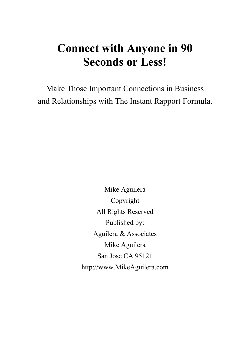# **Connect with Anyone in 90 Seconds or Less!**

Make Those Important Connections in Business and Relationships with The Instant Rapport Formula.

> Mike Aguilera Copyright All Rights Reserved Published by: Aguilera & Associates Mike Aguilera San Jose CA 95121 http://www.MikeAguilera.com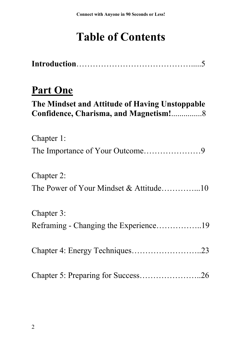# **Table of Contents**

## **Part One**

| The Mindset and Attitude of Having Unstoppable |  |
|------------------------------------------------|--|
| Chapter 1:                                     |  |
|                                                |  |
| Chapter 2:                                     |  |
|                                                |  |
| Chapter 3:                                     |  |
| Reframing - Changing the Experience19          |  |
| Chapter 4: Energy Techniques23                 |  |
| Chapter 5: Preparing for Success26             |  |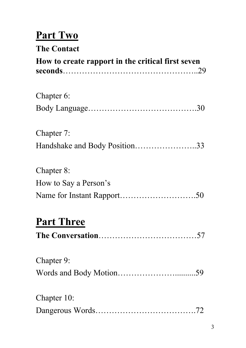## **Part Two**

## **The Contact**

| How to create rapport in the critical first seven |  |  |
|---------------------------------------------------|--|--|
| Chapter 6:                                        |  |  |
|                                                   |  |  |
| Chapter 7:                                        |  |  |
|                                                   |  |  |
| Chapter 8:                                        |  |  |
| How to Say a Person's                             |  |  |
|                                                   |  |  |

# **Part Three**

|--|

| Chapter 9:  |  |
|-------------|--|
|             |  |
|             |  |
| Chapter 10: |  |
|             |  |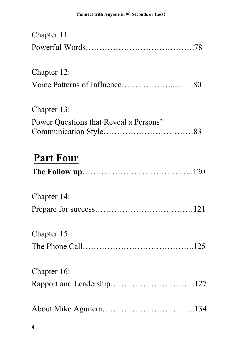| Chapter 11:                            |  |
|----------------------------------------|--|
|                                        |  |
| Chapter 12:                            |  |
|                                        |  |
| Chapter 13:                            |  |
| Power Questions that Reveal a Persons' |  |
| <b>Part Four</b>                       |  |
| Chapter 14:                            |  |
|                                        |  |
| Chapter 15:                            |  |
|                                        |  |
| Chapter 16:                            |  |
| Rapport and Leadership127              |  |
|                                        |  |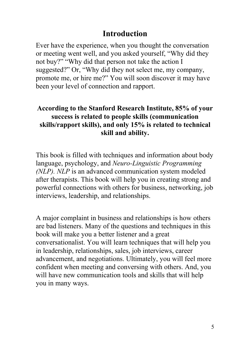#### **Introduction**

Ever have the experience, when you thought the conversation or meeting went well, and you asked yourself, "Why did they not buy?" "Why did that person not take the action I suggested?" Or, "Why did they not select me, my company, promote me, or hire me?" You will soon discover it may have been your level of connection and rapport.

#### **According to the Stanford Research Institute, 85% of your success is related to people skills (communication skills/rapport skills), and only 15% is related to technical skill and ability.**

This book is filled with techniques and information about body language, psychology, and *Neuro-Linguistic Programming (NLP). NLP* is an advanced communication system modeled after therapists. This book will help you in creating strong and powerful connections with others for business, networking, job interviews, leadership, and relationships.

A major complaint in business and relationships is how others are bad listeners. Many of the questions and techniques in this book will make you a better listener and a great conversationalist. You will learn techniques that will help you in leadership, relationships, sales, job interviews, career advancement, and negotiations. Ultimately, you will feel more confident when meeting and conversing with others. And, you will have new communication tools and skills that will help you in many ways.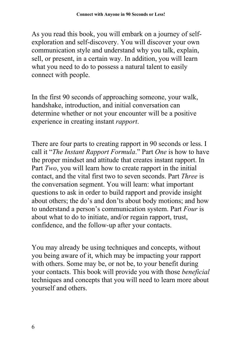As you read this book, you will embark on a journey of selfexploration and self-discovery. You will discover your own communication style and understand why you talk, explain, sell, or present, in a certain way. In addition, you will learn what you need to do to possess a natural talent to easily connect with people.

In the first 90 seconds of approaching someone, your walk, handshake, introduction, and initial conversation can determine whether or not your encounter will be a positive experience in creating instant *rapport*.

There are four parts to creating rapport in 90 seconds or less. I call it "*The Instant Rapport Formula*." Part *One* is how to have the proper mindset and attitude that creates instant rapport. In Part *Two*, you will learn how to create rapport in the initial contact, and the vital first two to seven seconds. Part *Three* is the conversation segment. You will learn: what important questions to ask in order to build rapport and provide insight about others; the do's and don'ts about body motions; and how to understand a person's communication system. Part *Four* is about what to do to initiate, and/or regain rapport, trust, confidence, and the follow-up after your contacts.

You may already be using techniques and concepts, without you being aware of it, which may be impacting your rapport with others. Some may be, or not be, to your benefit during your contacts. This book will provide you with those *beneficial* techniques and concepts that you will need to learn more about yourself and others.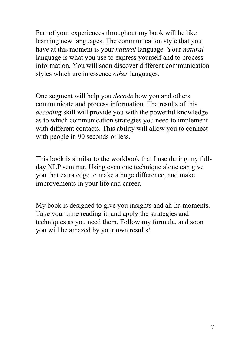Part of your experiences throughout my book will be like learning new languages. The communication style that you have at this moment is your *natural* language. Your *natural* language is what you use to express yourself and to process information. You will soon discover different communication styles which are in essence *other* languages.

One segment will help you *decode* how you and others communicate and process information. The results of this *decoding* skill will provide you with the powerful knowledge as to which communication strategies you need to implement with different contacts. This ability will allow you to connect with people in 90 seconds or less.

This book is similar to the workbook that I use during my fullday NLP seminar. Using even one technique alone can give you that extra edge to make a huge difference, and make improvements in your life and career.

My book is designed to give you insights and ah-ha moments. Take your time reading it, and apply the strategies and techniques as you need them. Follow my formula, and soon you will be amazed by your own results!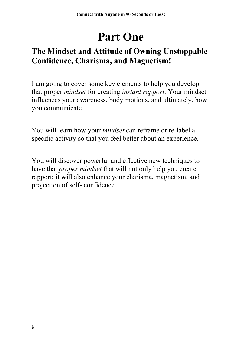# **Part One**

## **The Mindset and Attitude of Owning Unstoppable Confidence, Charisma, and Magnetism!**

I am going to cover some key elements to help you develop that proper *mindset* for creating *instant rapport*. Your mindset influences your awareness, body motions, and ultimately, how you communicate.

You will learn how your *mindset* can reframe or re-label a specific activity so that you feel better about an experience.

You will discover powerful and effective new techniques to have that *proper mindset* that will not only help you create rapport; it will also enhance your charisma, magnetism, and projection of self- confidence.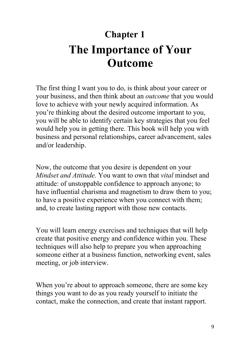# **Chapter 1 The Importance of Your Outcome**

The first thing I want you to do, is think about your career or your business, and then think about an *outcome* that you would love to achieve with your newly acquired information. As you're thinking about the desired outcome important to you, you will be able to identify certain key strategies that you feel would help you in getting there. This book will help you with business and personal relationships, career advancement, sales and/or leadership.

Now, the outcome that you desire is dependent on your *Mindset and Attitude.* You want to own that *vital* mindset and attitude: of unstoppable confidence to approach anyone; to have influential charisma and magnetism to draw them to you; to have a positive experience when you connect with them; and, to create lasting rapport with those new contacts.

You will learn energy exercises and techniques that will help create that positive energy and confidence within you. These techniques will also help to prepare you when approaching someone either at a business function, networking event, sales meeting, or job interview.

When you're about to approach someone, there are some key things you want to do as you ready yourself to initiate the contact, make the connection, and create that instant rapport.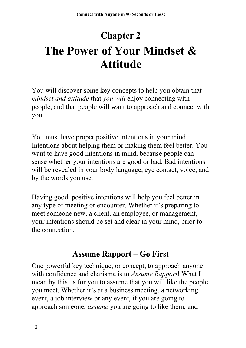# **Chapter 2 The Power of Your Mindset & Attitude**

You will discover some key concepts to help you obtain that *mindset and attitude* that *you will* enjoy connecting with people, and that people will want to approach and connect with you.

You must have proper positive intentions in your mind. Intentions about helping them or making them feel better. You want to have good intentions in mind, because people can sense whether your intentions are good or bad. Bad intentions will be revealed in your body language, eye contact, voice, and by the words you use.

Having good, positive intentions will help you feel better in any type of meeting or encounter. Whether it's preparing to meet someone new, a client, an employee, or management, your intentions should be set and clear in your mind, prior to the connection.

### **Assume Rapport – Go First**

One powerful key technique, or concept, to approach anyone with confidence and charisma is to *Assume Rapport*! What I mean by this, is for you to assume that you will like the people you meet. Whether it's at a business meeting, a networking event, a job interview or any event, if you are going to approach someone, *assume* you are going to like them, and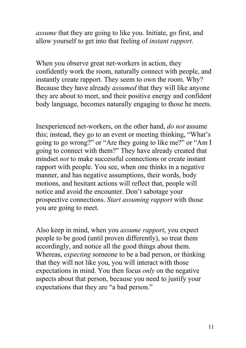*assume* that they are going to like you. Initiate, go first, and allow yourself to get into that feeling of *instant rapport*.

When you observe great net-workers in action, they confidently work the room, naturally connect with people, and instantly create rapport. They seem to own the room. Why? Because they have already *assumed* that they will like anyone they are about to meet, and their positive energy and confident body language, becomes naturally engaging to those he meets.

Inexperienced net-workers, on the other hand, *do not* assume this; instead, they go to an event or meeting thinking, "What's going to go wrong?" or "Are they going to like me?" or "Am I going to connect with them?" They have already created that mindset *not* to make successful connections or create instant rapport with people. You see, when one thinks in a negative manner, and has negative assumptions, their words, body motions, and hesitant actions will reflect that, people will notice and avoid the encounter. Don't sabotage your prospective connections. *Start assuming rapport* with those you are going to meet.

Also keep in mind, when you *assume rapport*, you expect people to be good (until proven differently), so treat them accordingly, and notice all the good things about them. Whereas, *expecting* someone to be a bad person, or thinking that they will not like you, you will interact with those expectations in mind. You then focus *only* on the negative aspects about that person, because you need to justify your expectations that they are "a bad person."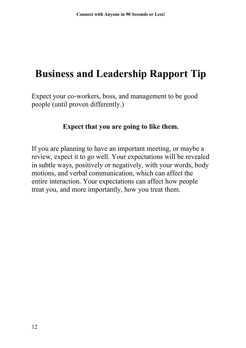## **Business and Leadership Rapport Tip**

Expect your co-workers, boss, and management to be good people (until proven differently.)

#### **Expect that you are going to like them.**

If you are planning to have an important meeting, or maybe a review, expect it to go well. Your expectations will be revealed in subtle ways, positively or negatively, with your words, body motions, and verbal communication, which can affect the entire interaction. Your expectations can affect how people treat you, and more importantly, how you treat them.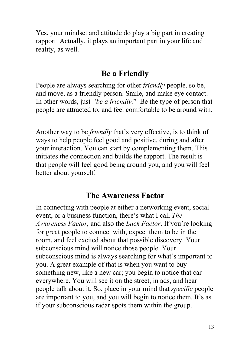Yes, your mindset and attitude do play a big part in creating rapport. Actually, it plays an important part in your life and reality, as well.

#### **Be a Friendly**

People are always searching for other *friendly* people, so be, and move, as a friendly person. Smile, and make eye contact. In other words, just *"be a friendly.*" Be the type of person that people are attracted to, and feel comfortable to be around with.

Another way to be *friendly* that's very effective, is to think of ways to help people feel good and positive, during and after your interaction. You can start by complementing them. This initiates the connection and builds the rapport. The result is that people will feel good being around you, and you will feel better about yourself.

#### **The Awareness Factor**

In connecting with people at either a networking event, social event, or a business function, there's what I call *The Awareness Factor,* and also the *Luck Factor*. If you're looking for great people to connect with, expect them to be in the room, and feel excited about that possible discovery. Your subconscious mind will notice those people. Your subconscious mind is always searching for what's important to you. A great example of that is when you want to buy something new, like a new car; you begin to notice that car everywhere. You will see it on the street, in ads, and hear people talk about it. So, place in your mind that *specific* people are important to you, and you will begin to notice them. It's as if your subconscious radar spots them within the group.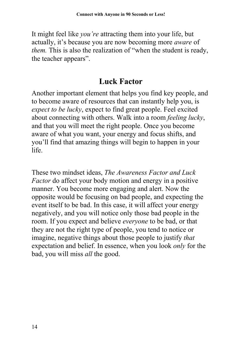It might feel like *you're* attracting them into your life, but actually, it's because you are now becoming more *aware* of *them.* This is also the realization of "when the student is ready, the teacher appears".

#### **Luck Factor**

Another important element that helps you find key people, and to become aware of resources that can instantly help you, is *expect to be lucky*, expect to find great people. Feel excited about connecting with others. Walk into a room *feeling lucky*, and that you will meet the right people. Once you become aware of what you want, your energy and focus shifts, and you'll find that amazing things will begin to happen in your life.

These two mindset ideas, *The Awareness Factor and Luck Factor* do affect your body motion and energy in a positive manner. You become more engaging and alert. Now the opposite would be focusing on bad people, and expecting the event itself to be bad. In this case, it will affect your energy negatively, and you will notice only those bad people in the room. If you expect and believe *everyone* to be bad, or that they are not the right type of people, you tend to notice or imagine, negative things about those people to justify *that* expectation and belief. In essence, when you look *only* for the bad, you will miss *all* the good.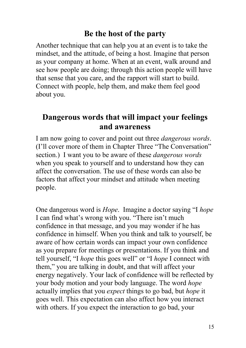#### **Be the host of the party**

Another technique that can help you at an event is to take the mindset, and the attitude, of being a host. Imagine that person as your company at home. When at an event, walk around and see how people are doing; through this action people will have that sense that you care, and the rapport will start to build. Connect with people, help them, and make them feel good about you.

#### **Dangerous words that will impact your feelings and awareness**

I am now going to cover and point out three *dangerous words*. (I'll cover more of them in Chapter Three "The Conversation" section.) I want you to be aware of these *dangerous words* when you speak to yourself and to understand how they can affect the conversation. The use of these words can also be factors that affect your mindset and attitude when meeting people.

One dangerous word is *Hope*. Imagine a doctor saying "I *hope* I can find what's wrong with you. "There isn't much confidence in that message, and you may wonder if he has confidence in himself. When you think and talk to yourself, be aware of how certain words can impact your own confidence as you prepare for meetings or presentations. If you think and tell yourself, "I *hope* this goes well" or "I *hope* I connect with them," you are talking in doubt, and that will affect your energy negatively. Your lack of confidence will be reflected by your body motion and your body language. The word *hope* actually implies that you *expect* things to go bad, but *hope* it goes well. This expectation can also affect how you interact with others. If you expect the interaction to go bad, your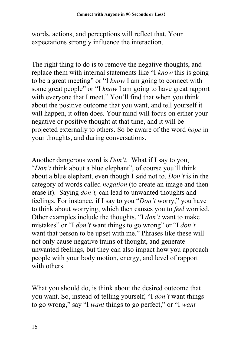words, actions, and perceptions will reflect that. Your expectations strongly influence the interaction.

The right thing to do is to remove the negative thoughts, and replace them with internal statements like "I *know* this is going to be a great meeting" or "I *know* I am going to connect with some great people" or "I *know* I am going to have great rapport with everyone that I meet." You'll find that when you think about the positive outcome that you want, and tell yourself it will happen, it often does. Your mind will focus on either your negative or positive thought at that time, and it will be projected externally to others. So be aware of the word *hope* in your thoughts, and during conversations.

Another dangerous word is *Don't.* What if I say to you, "*Don't* think about a blue elephant", of course you'll think about a blue elephant, even though I said not to. *Don't* is in the category of words called *negation* (to create an image and then erase it). Saying *don't,* can lead to unwanted thoughts and feelings. For instance, if I say to you "*Don't* worry," you have to think about worrying, which then causes you to *feel* worried. Other examples include the thoughts, "I *don't* want to make mistakes" or "I *don't* want things to go wrong" or "I *don't* want that person to be upset with me." Phrases like these will not only cause negative trains of thought, and generate unwanted feelings, but they can also impact how you approach people with your body motion, energy, and level of rapport with others.

What you should do, is think about the desired outcome that you want. So, instead of telling yourself, "I *don't* want things to go wrong," say "I *want* things to go perfect," or "I *want*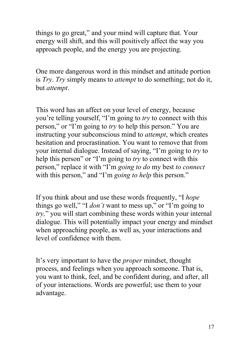things to go great," and your mind will capture that. Your energy will shift, and this will positively affect the way you approach people, and the energy you are projecting.

One more dangerous word in this mindset and attitude portion is *Try*. *Try* simply means to *attempt* to do something; not do it, but *attempt*.

This word has an affect on your level of energy, because you're telling yourself, "I'm going to *try* to connect with this person," or "I'm going to *try* to help this person." You are instructing your subconscious mind to *attempt*, which creates hesitation and procrastination. You want to remove that from your internal dialogue. Instead of saying, "I'm going to *try* to help this person" or "I'm going to *try* to connect with this person," replace it with "I'm *going to do* my best *to connect* with this person," and "I'm *going to help* this person."

If you think about and use these words frequently, "I *hope* things go well," "I *don't* want to mess up," or "I'm going to *try,*" you will start combining these words within your internal dialogue. This will potentially impact your energy and mindset when approaching people, as well as, your interactions and level of confidence with them.

It's very important to have the *proper* mindset, thought process, and feelings when you approach someone. That is, you want to think, feel, and be confident during, and after, all of your interactions. Words are powerful; use them to your advantage.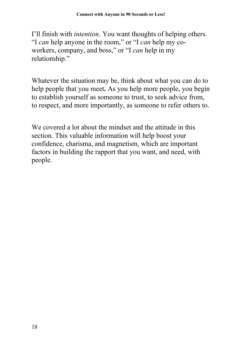I'll finish with *intention*. You want thoughts of helping others. "I *can* help anyone in the room," or "I *can* help my coworkers, company, and boss," or "I *can* help in my relationship."

Whatever the situation may be, think about what you can do to help people that you meet**.** As you help more people, you begin to establish yourself as someone to trust, to seek advice from, to respect, and more importantly, as someone to refer others to.

We covered a lot about the mindset and the attitude in this section. This valuable information will help boost your confidence, charisma, and magnetism, which are important factors in building the rapport that you want, and need, with people.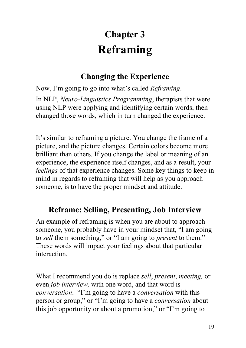# **Chapter 3 Reframing**

## **Changing the Experience**

Now, I'm going to go into what's called *Reframing*.

In NLP, *Neuro-Linguistics Programming*, therapists that were using NLP were applying and identifying certain words, then changed those words, which in turn changed the experience.

It's similar to reframing a picture. You change the frame of a picture, and the picture changes. Certain colors become more brilliant than others. If you change the label or meaning of an experience, the experience itself changes, and as a result, your *feelings* of that experience changes. Some key things to keep in mind in regards to reframing that will help as you approach someone, is to have the proper mindset and attitude.

## **Reframe: Selling, Presenting, Job Interview**

An example of reframing is when you are about to approach someone, you probably have in your mindset that, "I am going to *sell* them something," or "I am going to *present* to them." These words will impact your feelings about that particular interaction.

What I recommend you do is replace *sell*, *present*, *meeting,* or even *job interview,* with one word, and that word is *conversation*. "I'm going to have a *conversation* with this person or group," or "I'm going to have a *conversation* about this job opportunity or about a promotion," or "I'm going to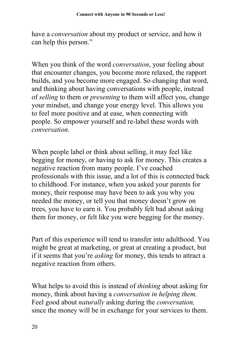have a *conversation* about my product or service, and how it can help this person."

When you think of the word *conversation*, your feeling about that encounter changes, you become more relaxed, the rapport builds, and you become more engaged. So changing that word, and thinking about having conversations with people, instead of *selling* to them or *presenting* to them will affect you, change your mindset, and change your energy level. This allows you to feel more positive and at ease, when connecting with people. So empower yourself and re-label these words with *conversation*.

When people label or think about selling, it may feel like begging for money, or having to ask for money. This creates a negative reaction from many people. I've coached professionals with this issue, and a lot of this is connected back to childhood. For instance, when you asked your parents for money, their response may have been to ask you why you needed the money, or tell you that money doesn't grow on trees, you have to earn it. You probably felt bad about asking them for money, or felt like you were begging for the money.

Part of this experience will tend to transfer into adulthood. You might be great at marketing, or great at creating a product, but if it seems that you're *asking* for money, this tends to attract a negative reaction from others.

What helps to avoid this is instead of *thinking* about asking for money, think about having a *conversation in helping them.* Feel good about *naturally* asking during the *conversation,* since the money will be in exchange for your services to them.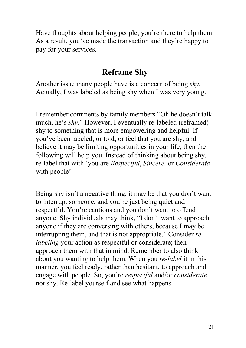Have thoughts about helping people; you're there to help them. As a result, you've made the transaction and they're happy to pay for your services.

#### **Reframe Shy**

Another issue many people have is a concern of being *shy.* Actually, I was labeled as being shy when I was very young.

I remember comments by family members "Oh he doesn't talk much, he's *shy*." However, I eventually re-labeled (reframed) shy to something that is more empowering and helpful. If you've been labeled, or told, or feel that you are shy, and believe it may be limiting opportunities in your life, then the following will help you. Instead of thinking about being shy, re-label that with 'you are *Respectful*, *Sincere,* or *Considerate* with people'.

Being shy isn't a negative thing, it may be that you don't want to interrupt someone, and you're just being quiet and respectful. You're cautious and you don't want to offend anyone. Shy individuals may think, "I don't want to approach anyone if they are conversing with others, because I may be interrupting them, and that is not appropriate." Consider *relabeling* your action as respectful or considerate; then approach them with that in mind. Remember to also think about you wanting to help them. When you *re-label* it in this manner, you feel ready, rather than hesitant, to approach and engage with people. So, you're *respectful* and/or *considerate*, not shy. Re-label yourself and see what happens.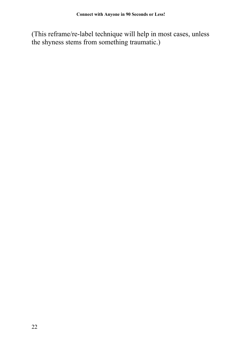(This reframe/re-label technique will help in most cases, unless the shyness stems from something traumatic.)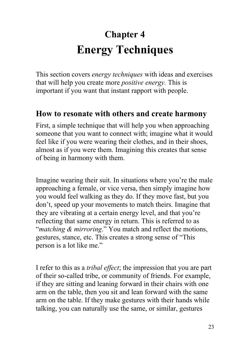# **Chapter 4 Energy Techniques**

This section covers *energy techniques* with ideas and exercises that will help you create more *positive energy.* This is important if you want that instant rapport with people.

#### **How to resonate with others and create harmony**

First, a simple technique that will help you when approaching someone that you want to connect with; imagine what it would feel like if you were wearing their clothes, and in their shoes, almost as if you were them. Imagining this creates that sense of being in harmony with them.

Imagine wearing their suit. In situations where you're the male approaching a female, or vice versa, then simply imagine how you would feel walking as they do. If they move fast, but you don't, speed up your movements to match theirs. Imagine that they are vibrating at a certain energy level, and that you're reflecting that same energy in return. This is referred to as "*matching & mirroring*." You match and reflect the motions, gestures, stance, etc. This creates a strong sense of "This person is a lot like me."

I refer to this as a *tribal effect*; the impression that you are part of their so-called tribe, or community of friends. For example, if they are sitting and leaning forward in their chairs with one arm on the table, then you sit and lean forward with the same arm on the table. If they make gestures with their hands while talking, you can naturally use the same, or similar, gestures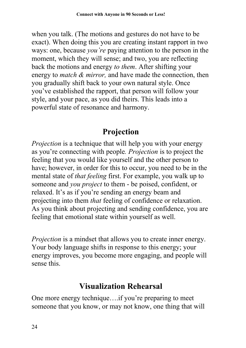when you talk. (The motions and gestures do not have to be exact). When doing this you are creating instant rapport in two ways: one, because *you're* paying attention to the person in the moment, which they will sense; and two, you are reflecting back the motions and energy *to them*. After shifting your energy to *match & mirror,* and have made the connection, then you gradually shift back to your own natural style. Once you've established the rapport, that person will follow your style, and your pace, as you did theirs. This leads into a powerful state of resonance and harmony.

## **Projection**

*Projection* is a technique that will help you with your energy as you're connecting with people*. Projection* is to project the feeling that you would like yourself and the other person to have; however, in order for this to occur, you need to be in the mental state of *that feeling* first. For example, you walk up to someone and *you project* to them - be poised, confident, or relaxed. It's as if you're sending an energy beam and projecting into them *that* feeling of confidence or relaxation. As you think about projecting and sending confidence, you are feeling that emotional state within yourself as well.

*Projection* is a mindset that allows you to create inner energy. Your body language shifts in response to this energy; your energy improves, you become more engaging, and people will sense this.

### **Visualization Rehearsal**

One more energy technique….if you're preparing to meet someone that you know, or may not know, one thing that will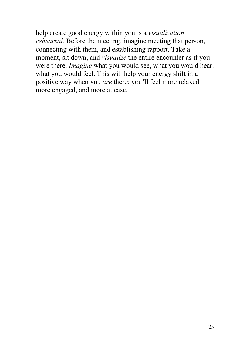help create good energy within you is a *visualization rehearsal.* Before the meeting, imagine meeting that person, connecting with them, and establishing rapport. Take a moment, sit down, and *visualize* the entire encounter as if you were there. *Imagine* what you would see, what you would hear, what you would feel. This will help your energy shift in a positive way when you *are* there: you'll feel more relaxed, more engaged, and more at ease.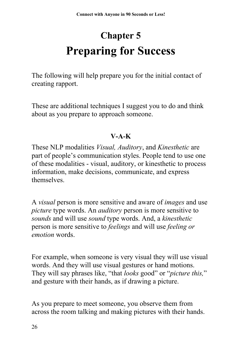# **Chapter 5 Preparing for Success**

The following will help prepare you for the initial contact of creating rapport.

These are additional techniques I suggest you to do and think about as you prepare to approach someone.

#### **V-A-K**

These NLP modalities *Visual, Auditory*, and *Kinesthetic* are part of people's communication styles. People tend to use one of these modalities - visual, auditory, or kinesthetic to process information, make decisions, communicate, and express themselves.

A *visual* person is more sensitive and aware of *images* and use *picture* type words. An *auditory* person is more sensitive to *sounds* and will use *sound* type words. And, a *kinesthetic* person is more sensitive to *feelings* and will use *feeling or emotion* words.

For example, when someone is very visual they will use visual words. And they will use visual gestures or hand motions. They will say phrases like, "that *looks* good" or "*picture this,*" and gesture with their hands, as if drawing a picture.

As you prepare to meet someone, you observe them from across the room talking and making pictures with their hands.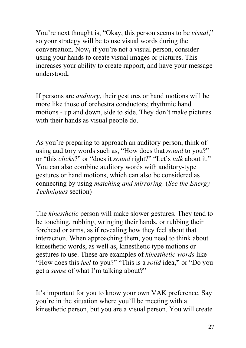You're next thought is, "Okay, this person seems to be *visual*," so your strategy will be to use visual words during the conversation. Now**,** if you're not a visual person, consider using your hands to create visual images or pictures. This increases your ability to create rapport, and have your message understood**.**

If persons are *auditory*, their gestures or hand motions will be more like those of orchestra conductors; rhythmic hand motions - up and down, side to side. They don't make pictures with their hands as visual people do.

As you're preparing to approach an auditory person, think of using auditory words such as, "How does that *sound* to you?" or "this *clicks*?" or "does it *sound* right?" "Let's *talk* about it." You can also combine auditory words with auditory-type gestures or hand motions, which can also be considered as connecting by using *matching and mirroring*. (*See the Energy Techniques* section)

The *kinesthetic* person will make slower gestures. They tend to be touching, rubbing, wringing their hands, or rubbing their forehead or arms, as if revealing how they feel about that interaction. When approaching them, you need to think about kinesthetic words, as well as, kinesthetic type motions or gestures to use. These are examples of *kinesthetic words* like "How does this *feel* to you?" "This is a *solid* idea**,"** or "Do you get a *sense* of what I'm talking about?"

It's important for you to know your own VAK preference. Say you're in the situation where you'll be meeting with a kinesthetic person, but you are a visual person. You will create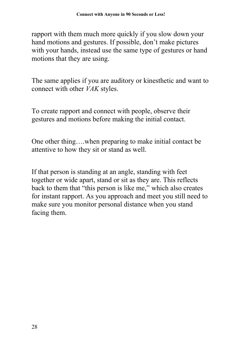rapport with them much more quickly if you slow down your hand motions and gestures. If possible, don't make pictures with your hands, instead use the same type of gestures or hand motions that they are using.

The same applies if you are auditory or kinesthetic and want to connect with other *VAK* styles.

To create rapport and connect with people, observe their gestures and motions before making the initial contact.

One other thing….when preparing to make initial contact be attentive to how they sit or stand as well.

If that person is standing at an angle, standing with feet together or wide apart, stand or sit as they are. This reflects back to them that "this person is like me," which also creates for instant rapport. As you approach and meet you still need to make sure you monitor personal distance when you stand facing them.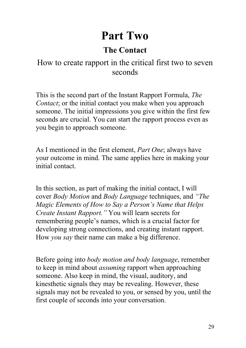# **Part Two**

## **The Contact**

### How to create rapport in the critical first two to seven seconds

This is the second part of the Instant Rapport Formula, *The Contact*; or the initial contact you make when you approach someone. The initial impressions you give within the first few seconds are crucial. You can start the rapport process even as you begin to approach someone.

As I mentioned in the first element, *Part One*; always have your outcome in mind. The same applies here in making your initial contact.

In this section, as part of making the initial contact, I will cover *Body Motion* and *Body Language* techniques, and *"The Magic Elements of How to Say a Person's Name that Helps Create Instant Rapport."* You will learn secrets for remembering people's names, which is a crucial factor for developing strong connections, and creating instant rapport. How *you say* their name can make a big difference.

Before going into *body motion and body language*, remember to keep in mind about *assuming* rapport when approaching someone. Also keep in mind, the visual, auditory, and kinesthetic signals they may be revealing. However, these signals may not be revealed to you, or sensed by you, until the first couple of seconds into your conversation.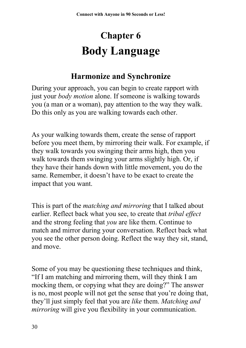# **Chapter 6 Body Language**

### **Harmonize and Synchronize**

During your approach, you can begin to create rapport with just your *body motion* alone. If someone is walking towards you (a man or a woman), pay attention to the way they walk. Do this only as you are walking towards each other.

As your walking towards them, create the sense of rapport before you meet them, by mirroring their walk. For example, if they walk towards you swinging their arms high, then you walk towards them swinging your arms slightly high. Or, if they have their hands down with little movement, you do the same. Remember, it doesn't have to be exact to create the impact that you want.

This is part of the *matching and mirroring* that I talked about earlier. Reflect back what you see, to create that *tribal effect* and the strong feeling that *you* are like them. Continue to match and mirror during your conversation. Reflect back what you see the other person doing. Reflect the way they sit, stand, and move.

Some of you may be questioning these techniques and think, "If I am matching and mirroring them, will they think I am mocking them, or copying what they are doing?" The answer is no, most people will not get the sense that you're doing that, they'll just simply feel that you are *like* them. *Matching and mirroring* will give you flexibility in your communication.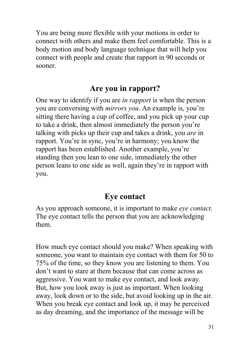You are being more flexible with your motions in order to connect with others and make them feel comfortable. This is a body motion and body language technique that will help you connect with people and create that rapport in 90 seconds or sooner.

### **Are you in rapport?**

One way to identify if you are *in rapport* is when the person you are conversing with *mirrors you*. An example is, you're sitting there having a cup of coffee, and you pick up your cup to take a drink, then almost immediately the person you're talking with picks up their cup and takes a drink, you *are* in rapport. You're in sync, you're in harmony; you know the rapport has been established. Another example, you're standing then you lean to one side, immediately the other person leans to one side as well, again they're in rapport with you.

#### **Eye contact**

As you approach someone, it is important to make *eye contact.* The eye contact tells the person that you are acknowledging them.

How much eye contact should you make? When speaking with someone, you want to maintain eye contact with them for 50 to 75% of the time, so they know you are listening to them. You don't want to stare at them because that can come across as aggressive. You want to make eye contact, and look away. But, how you look away is just as important. When looking away, look down or to the side, but avoid looking up in the air. When you break eye contact and look up, it may be perceived as day dreaming, and the importance of the message will be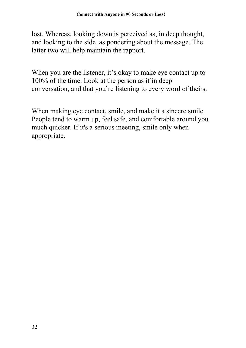lost. Whereas, looking down is perceived as, in deep thought, and looking to the side, as pondering about the message. The latter two will help maintain the rapport.

When you are the listener, it's okay to make eye contact up to 100% of the time. Look at the person as if in deep conversation, and that you're listening to every word of theirs.

When making eye contact, smile, and make it a sincere smile. People tend to warm up, feel safe, and comfortable around you much quicker. If it's a serious meeting, smile only when appropriate.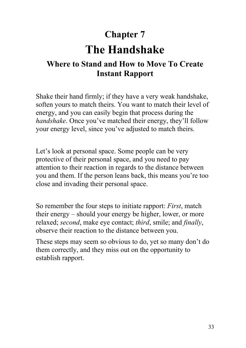## **Chapter 7**

# **The Handshake**

## **Where to Stand and How to Move To Create Instant Rapport**

Shake their hand firmly; if they have a very weak handshake, soften yours to match theirs. You want to match their level of energy, and you can easily begin that process during the *handshake*. Once you've matched their energy, they'll follow your energy level, since you've adjusted to match theirs.

Let's look at personal space. Some people can be very protective of their personal space, and you need to pay attention to their reaction in regards to the distance between you and them. If the person leans back, this means you're too close and invading their personal space.

So remember the four steps to initiate rapport: *First*, match their energy – should your energy be higher, lower, or more relaxed; *second*, make eye contact; *third*, smile; and *finally*, observe their reaction to the distance between you.

These steps may seem so obvious to do, yet so many don't do them correctly, and they miss out on the opportunity to establish rapport.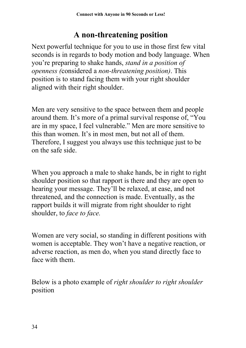### **A non-threatening position**

Next powerful technique for you to use in those first few vital seconds is in regards to body motion and body language. When you're preparing to shake hands, *stand in a position of openness (*considered a *non-threatening position)*. This position is to stand facing them with your right shoulder aligned with their right shoulder.

Men are very sensitive to the space between them and people around them. It's more of a primal survival response of, "You are in my space, I feel vulnerable." Men are more sensitive to this than women. It's in most men, but not all of them. Therefore, I suggest you always use this technique just to be on the safe side.

When you approach a male to shake hands, be in right to right shoulder position so that rapport is there and they are open to hearing your message. They'll be relaxed, at ease, and not threatened, and the connection is made. Eventually, as the rapport builds it will migrate from right shoulder to right shoulder, to *face to face.*

Women are very social, so standing in different positions with women is acceptable. They won't have a negative reaction, or adverse reaction, as men do, when you stand directly face to face with them.

Below is a photo example of *right shoulder to right shoulder* position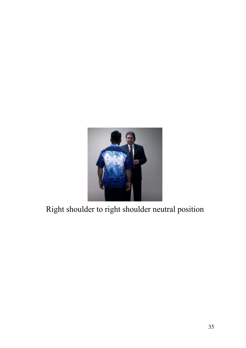

# Right shoulder to right shoulder neutral position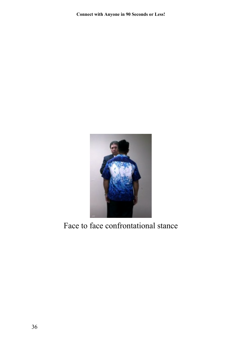

Face to face confrontational stance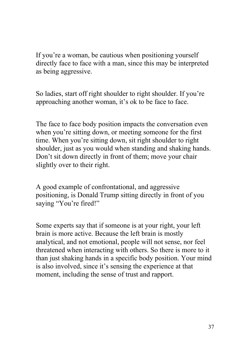If you're a woman, be cautious when positioning yourself directly face to face with a man, since this may be interpreted as being aggressive.

So ladies, start off right shoulder to right shoulder. If you're approaching another woman, it's ok to be face to face.

The face to face body position impacts the conversation even when you're sitting down, or meeting someone for the first time. When you're sitting down, sit right shoulder to right shoulder, just as you would when standing and shaking hands. Don't sit down directly in front of them; move your chair slightly over to their right.

A good example of confrontational, and aggressive positioning, is Donald Trump sitting directly in front of you saying "You're fired!"

Some experts say that if someone is at your right, your left brain is more active. Because the left brain is mostly analytical, and not emotional, people will not sense, nor feel threatened when interacting with others. So there is more to it than just shaking hands in a specific body position. Your mind is also involved, since it's sensing the experience at that moment, including the sense of trust and rapport.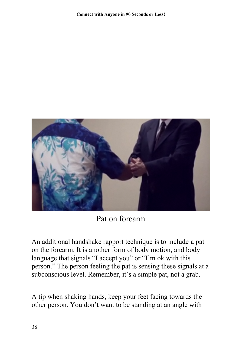

Pat on forearm

An additional handshake rapport technique is to include a pat on the forearm. It is another form of body motion, and body language that signals "I accept you" or "I'm ok with this person." The person feeling the pat is sensing these signals at a subconscious level. Remember, it's a simple pat, not a grab.

A tip when shaking hands, keep your feet facing towards the other person. You don't want to be standing at an angle with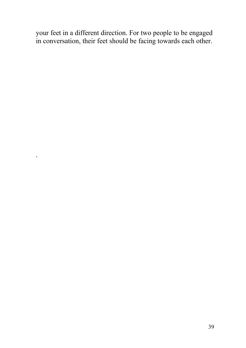your feet in a different direction. For two people to be engaged in conversation, their feet should be facing towards each other.

.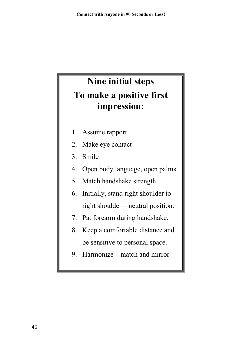# **Nine initial steps To make a positive first impression:**

- 1. Assume rapport
- 2. Make eye contact
- 3. Smile
- 4. Open body language, open palms
- 5. Match handshake strength
- 6. Initially, stand right shoulder to right shoulder – neutral position.
- 7. Pat forearm during handshake.
- 8. Keep a comfortable distance and be sensitive to personal space.
- 9. Harmonize match and mirror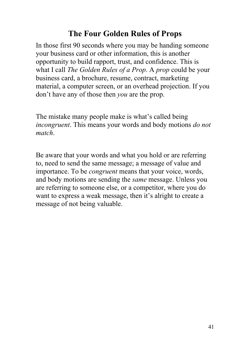#### **The Four Golden Rules of Props**

In those first 90 seconds where you may be handing someone your business card or other information, this is another opportunity to build rapport, trust, and confidence. This is what I call *The Golden Rules of a Prop*. A *prop* could be your business card, a brochure, resume, contract, marketing material, a computer screen, or an overhead projection. If you don't have any of those then *you* are the prop.

The mistake many people make is what's called being *incongruent*. This means your words and body motions *do not match*.

Be aware that your words and what you hold or are referring to, need to send the same message; a message of value and importance. To be *congruent* means that your voice, words, and body motions are sending the *same* message. Unless you are referring to someone else, or a competitor, where you do want to express a weak message, then it's alright to create a message of not being valuable.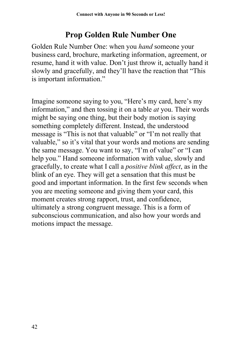### **Prop Golden Rule Number One**

Golden Rule Number One: when you *hand* someone your business card, brochure, marketing information, agreement, or resume, hand it with value. Don't just throw it, actually hand it slowly and gracefully, and they'll have the reaction that "This is important information."

Imagine someone saying to you, "Here's my card, here's my information," and then tossing it on a table *at* you. Their words might be saying one thing, but their body motion is saying something completely different. Instead, the understood message is "This is not that valuable" or "I'm not really that valuable," so it's vital that your words and motions are sending the same message. You want to say, "I'm of value" or "I can help you." Hand someone information with value, slowly and gracefully, to create what I call a *positive blink affect*, as in the blink of an eye. They will get a sensation that this must be good and important information. In the first few seconds when you are meeting someone and giving them your card, this moment creates strong rapport, trust, and confidence, ultimately a strong congruent message. This is a form of subconscious communication, and also how your words and motions impact the message.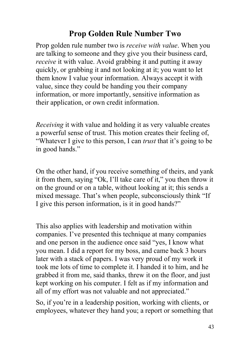#### **Prop Golden Rule Number Two**

Prop golden rule number two is *receive with value*. When you are talking to someone and they give you their business card, *receive* it with value. Avoid grabbing it and putting it away quickly, or grabbing it and not looking at it; you want to let them know I value your information. Always accept it with value, since they could be handing you their company information, or more importantly, sensitive information as their application, or own credit information.

*Receiving* it with value and holding it as very valuable creates a powerful sense of trust. This motion creates their feeling of, "Whatever I give to this person, I can *trust* that it's going to be in good hands."

On the other hand, if you receive something of theirs, and yank it from them, saying "Ok, I'll take care of it," you then throw it on the ground or on a table, without looking at it; this sends a mixed message. That's when people, subconsciously think "If I give this person information, is it in good hands?"

This also applies with leadership and motivation within companies. I've presented this technique at many companies and one person in the audience once said "yes, I know what you mean. I did a report for my boss, and came back 3 hours later with a stack of papers. I was very proud of my work it took me lots of time to complete it. I handed it to him, and he grabbed it from me, said thanks, threw it on the floor, and just kept working on his computer. I felt as if my information and all of my effort was not valuable and not appreciated."

So, if you're in a leadership position, working with clients, or employees, whatever they hand you; a report or something that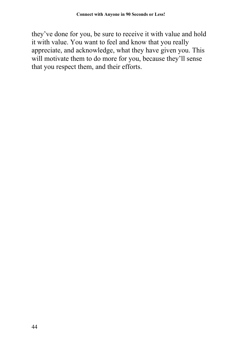they've done for you, be sure to receive it with value and hold it with value. You want to feel and know that you really appreciate, and acknowledge, what they have given you. This will motivate them to do more for you, because they'll sense that you respect them, and their efforts.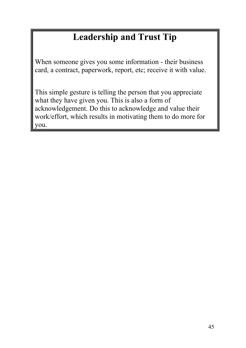# **Leadership and Trust Tip**

When someone gives you some information - their business card, a contract, paperwork, report, etc; receive it with value.

This simple gesture is telling the person that you appreciate what they have given you. This is also a form of acknowledgement. Do this to acknowledge and value their work/effort, which results in motivating them to do more for you.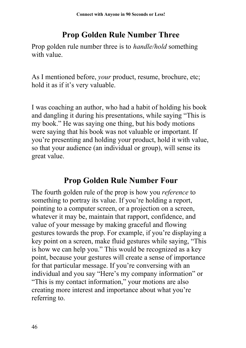## **Prop Golden Rule Number Three**

Prop golden rule number three is to *handle/hold* something with value.

As I mentioned before, *your* product, resume, brochure, etc; hold it as if it's very valuable.

I was coaching an author, who had a habit of holding his book and dangling it during his presentations, while saying "This is my book." He was saying one thing, but his body motions were saying that his book was not valuable or important. If you're presenting and holding your product, hold it with value, so that your audience (an individual or group), will sense its great value.

#### **Prop Golden Rule Number Four**

The fourth golden rule of the prop is how you *reference* to something to portray its value. If you're holding a report, pointing to a computer screen, or a projection on a screen, whatever it may be, maintain that rapport, confidence, and value of your message by making graceful and flowing gestures towards the prop. For example, if you're displaying a key point on a screen, make fluid gestures while saying, "This is how we can help you." This would be recognized as a key point, because your gestures will create a sense of importance for that particular message. If you're conversing with an individual and you say "Here's my company information" or "This is my contact information," your motions are also creating more interest and importance about what you're referring to.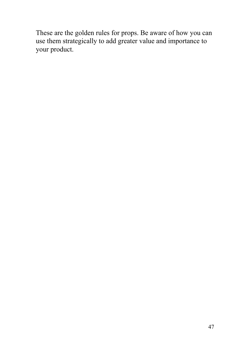These are the golden rules for props. Be aware of how you can use them strategically to add greater value and importance to your product.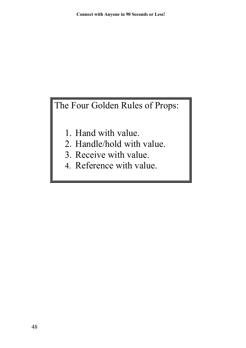The Four Golden Rules of Props:

- 1. Hand with value.
- 2. Handle/hold with value.
- 3. Receive with value.
- 4. Reference with value.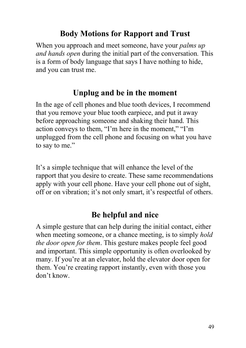#### **Body Motions for Rapport and Trust**

When you approach and meet someone, have your *palms up and hands open* during the initial part of the conversation*.* This is a form of body language that says I have nothing to hide, and you can trust me.

#### **Unplug and be in the moment**

In the age of cell phones and blue tooth devices, I recommend that you remove your blue tooth earpiece, and put it away before approaching someone and shaking their hand. This action conveys to them, "I'm here in the moment," "I'm unplugged from the cell phone and focusing on what you have to say to me."

It's a simple technique that will enhance the level of the rapport that you desire to create. These same recommendations apply with your cell phone. Have your cell phone out of sight, off or on vibration; it's not only smart, it's respectful of others.

## **Be helpful and nice**

A simple gesture that can help during the initial contact, either when meeting someone, or a chance meeting, is to simply *hold the door open for them*. This gesture makes people feel good and important. This simple opportunity is often overlooked by many. If you're at an elevator, hold the elevator door open for them. You're creating rapport instantly, even with those you don't know.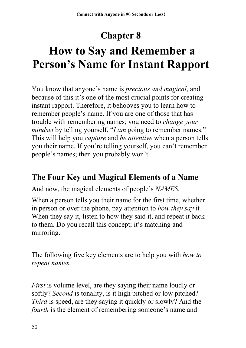# **Chapter 8**

# **How to Say and Remember a Person's Name for Instant Rapport**

You know that anyone's name is *precious and magical*, and because of this it's one of the most crucial points for creating instant rapport. Therefore, it behooves you to learn how to remember people's name. If you are one of those that has trouble with remembering names; you need to *change your mindset* by telling yourself, "*I am* going to remember names." This will help you *capture* and *be attentive* when a person tells you their name. If you're telling yourself, you can't remember people's names; then you probably won't.

#### **The Four Key and Magical Elements of a Name**

And now, the magical elements of people's *NAMES.*

When a person tells you their name for the first time, whether in person or over the phone, pay attention to *how they say* it*.* When they say it, listen to how they said it, and repeat it back to them. Do you recall this concept; it's matching and mirroring.

The following five key elements are to help you with *how to repeat names.* 

*First* is volume level, are they saying their name loudly or softly? *Second* is tonality, is it high pitched or low pitched? *Third* is speed, are they saying it quickly or slowly? And the *fourth* is the element of remembering someone's name and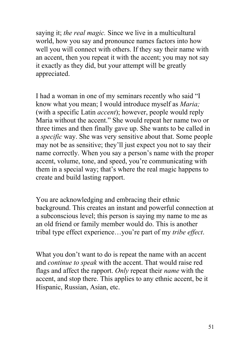saying it; *the real magic.* Since we live in a multicultural world, how you say and pronounce names factors into how well you will connect with others. If they say their name with an accent, then you repeat it with the accent; you may not say it exactly as they did, but your attempt will be greatly appreciated.

I had a woman in one of my seminars recently who said "I know what you mean; I would introduce myself as *Maria;* (with a specific Latin *accent*); however, people would reply Maria without the accent." She would repeat her name two or three times and then finally gave up. She wants to be called in a *specific* way. She was very sensitive about that. Some people may not be as sensitive; they'll just expect you not to say their name correctly. When you say a person's name with the proper accent, volume, tone, and speed, you're communicating with them in a special way; that's where the real magic happens to create and build lasting rapport.

You are acknowledging and embracing their ethnic background. This creates an instant and powerful connection at a subconscious level; this person is saying my name to me as an old friend or family member would do. This is another tribal type effect experience…you're part of my *tribe effect*.

What you don't want to do is repeat the name with an accent and *continue to speak* with the accent. That would raise red flags and affect the rapport. *Only* repeat their *name* with the accent, and stop there. This applies to any ethnic accent, be it Hispanic, Russian, Asian, etc.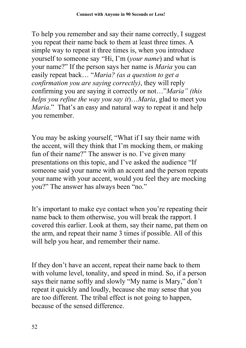To help you remember and say their name correctly, I suggest you repeat their name back to them at least three times. A simple way to repeat it three times is, when you introduce yourself to someone say "Hi, I'm (*your name*) and what is your name?" If the person says her name is *Maria* you can easily repeat back… "*Maria? (as a question to get a confirmation you are saying correctly)*, they will reply confirming you are saying it correctly or not…"*Maria" (this helps you refine the way you say it*)…*Maria*, glad to meet you *Maria*." That's an easy and natural way to repeat it and help you remember.

You may be asking yourself, "What if I say their name with the accent, will they think that I'm mocking them, or making fun of their name?" The answer is no. I've given many presentations on this topic, and I've asked the audience "If someone said your name with an accent and the person repeats your name with your accent, would you feel they are mocking you?" The answer has always been "no."

It's important to make eye contact when you're repeating their name back to them otherwise, you will break the rapport. I covered this earlier. Look at them, say their name, pat them on the arm, and repeat their name 3 times if possible. All of this will help you hear, and remember their name.

If they don't have an accent, repeat their name back to them with volume level, tonality, and speed in mind. So, if a person says their name softly and slowly "My name is Mary," don't repeat it quickly and loudly, because she may sense that you are too different. The tribal effect is not going to happen, because of the sensed difference.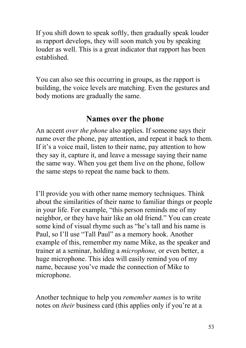If you shift down to speak softly, then gradually speak louder as rapport develops, they will soon match you by speaking louder as well. This is a great indicator that rapport has been established.

You can also see this occurring in groups, as the rapport is building, the voice levels are matching. Even the gestures and body motions are gradually the same.

#### **Names over the phone**

An accent *over the phone* also applies. If someone says their name over the phone, pay attention, and repeat it back to them. If it's a voice mail, listen to their name, pay attention to how they say it, capture it, and leave a message saying their name the same way. When you get them live on the phone, follow the same steps to repeat the name back to them.

I'll provide you with other name memory techniques. Think about the similarities of their name to familiar things or people in your life. For example, "this person reminds me of my neighbor, or they have hair like an old friend." You can create some kind of visual rhyme such as "he's tall and his name is Paul, so I'll use "Tall Paul" as a memory hook. Another example of this, remember my name Mike, as the speaker and trainer at a seminar, holding a *microphone,* or even better, a huge microphone. This idea will easily remind you of my name, because you've made the connection of Mike to microphone.

Another technique to help you *remember names* is to write notes on *their* business card (this applies only if you're at a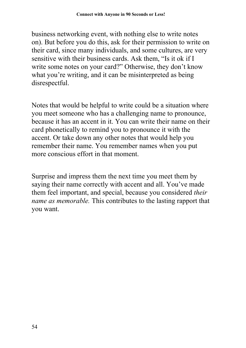business networking event, with nothing else to write notes on). But before you do this, ask for their permission to write on their card, since many individuals, and some cultures, are very sensitive with their business cards. Ask them, "Is it ok if I write some notes on your card?" Otherwise, they don't know what you're writing, and it can be misinterpreted as being disrespectful.

Notes that would be helpful to write could be a situation where you meet someone who has a challenging name to pronounce, because it has an accent in it. You can write their name on their card phonetically to remind you to pronounce it with the accent. Or take down any other notes that would help you remember their name. You remember names when you put more conscious effort in that moment.

Surprise and impress them the next time you meet them by saying their name correctly with accent and all. You've made them feel important, and special, because you considered *their name as memorable.* This contributes to the lasting rapport that you want.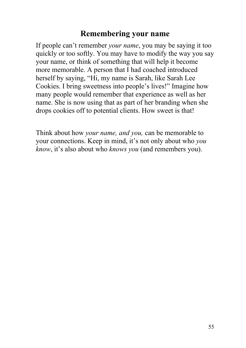#### **Remembering your name**

If people can't remember *your name*, you may be saying it too quickly or too softly. You may have to modify the way you say your name, or think of something that will help it become more memorable. A person that I had coached introduced herself by saying, "Hi, my name is Sarah, like Sarah Lee Cookies. I bring sweetness into people's lives!" Imagine how many people would remember that experience as well as her name. She is now using that as part of her branding when she drops cookies off to potential clients. How sweet is that!

Think about how *your name, and you,* can be memorable to your connections. Keep in mind, it's not only about who *you know*, it's also about who *knows you* (and remembers you).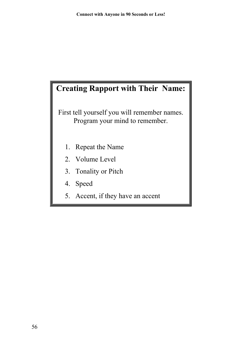## **Creating Rapport with Their Name:**

First tell yourself you will remember names. Program your mind to remember.

- 1. Repeat the Name
- 2. Volume Level
- 3. Tonality or Pitch
- 4. Speed
- 5. Accent, if they have an accent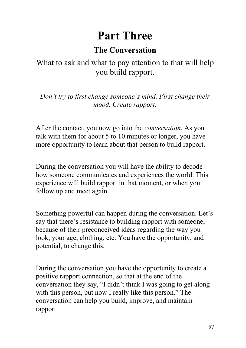# **Part Three**

## **The Conversation**

### What to ask and what to pay attention to that will help you build rapport.

*Don't try to first change someone's mind. First change their mood. Create rapport.*

After the contact, you now go into the *conversation*. As you talk with them for about 5 to 10 minutes or longer, you have more opportunity to learn about that person to build rapport.

During the conversation you will have the ability to decode how someone communicates and experiences the world. This experience will build rapport in that moment, or when you follow up and meet again.

Something powerful can happen during the conversation. Let's say that there's resistance to building rapport with someone, because of their preconceived ideas regarding the way you look, your age, clothing, etc. You have the opportunity, and potential, to change this.

During the conversation you have the opportunity to create a positive rapport connection, so that at the end of the conversation they say, "I didn't think I was going to get along with this person, but now I really like this person." The conversation can help you build, improve, and maintain rapport.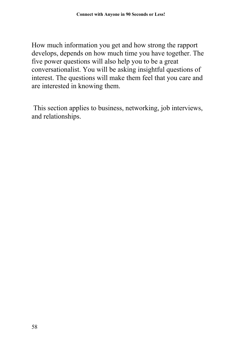How much information you get and how strong the rapport develops, depends on how much time you have together. The five power questions will also help you to be a great conversationalist. You will be asking insightful questions of interest. The questions will make them feel that you care and are interested in knowing them.

This section applies to business, networking, job interviews, and relationships.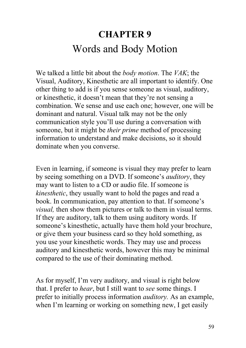# **CHAPTER 9** Words and Body Motion

We talked a little bit about the *body motion*. The *VAK*; the Visual, Auditory, Kinesthetic are all important to identify. One other thing to add is if you sense someone as visual, auditory, or kinesthetic, it doesn't mean that they're not sensing a combination. We sense and use each one; however, one will be dominant and natural. Visual talk may not be the only communication style you'll use during a conversation with someone, but it might be *their prime* method of processing information to understand and make decisions, so it should dominate when you converse.

Even in learning, if someone is visual they may prefer to learn by seeing something on a DVD. If someone's *auditory*, they may want to listen to a CD or audio file. If someone is *kinesthetic*, they usually want to hold the pages and read a book. In communication, pay attention to that. If someone's *visual,* then show them pictures or talk to them in visual terms. If they are auditory, talk to them using auditory words. If someone's kinesthetic, actually have them hold your brochure, or give them your business card so they hold something, as you use your kinesthetic words. They may use and process auditory and kinesthetic words, however this may be minimal compared to the use of their dominating method.

As for myself, I'm very auditory, and visual is right below that. I prefer to *hear*, but I still want to *see* some things. I prefer to initially process information *auditory.* As an example, when I'm learning or working on something new, I get easily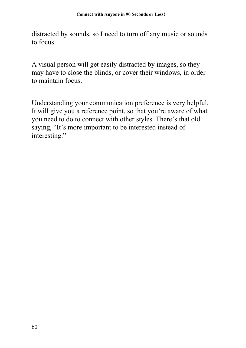distracted by sounds, so I need to turn off any music or sounds to focus.

A visual person will get easily distracted by images, so they may have to close the blinds, or cover their windows, in order to maintain focus.

Understanding your communication preference is very helpful. It will give you a reference point, so that you're aware of what you need to do to connect with other styles. There's that old saying, "It's more important to be interested instead of interesting."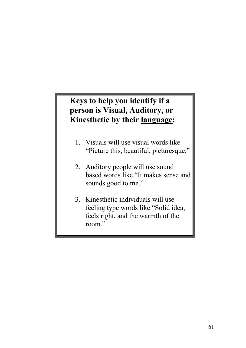#### **Keys to help you identify if a person is Visual, Auditory, or Kinesthetic by their language:**

- 1. Visuals will use visual words like "Picture this, beautiful, picturesque."
- 2. Auditory people will use sound based words like "It makes sense and sounds good to me."
- 3. Kinesthetic individuals will use feeling type words like "Solid idea, feels right, and the warmth of the room."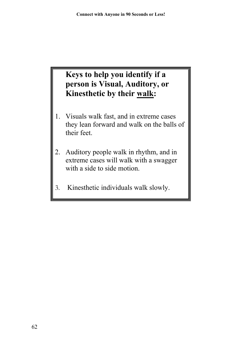## **Keys to help you identify if a person is Visual, Auditory, or Kinesthetic by their walk:**

- 1. Visuals walk fast, and in extreme cases they lean forward and walk on the balls of their feet.
- 2. Auditory people walk in rhythm, and in extreme cases will walk with a swagger with a side to side motion.
- 3. Kinesthetic individuals walk slowly.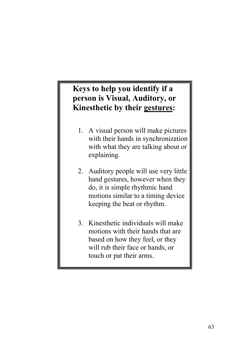#### **Keys to help you identify if a person is Visual, Auditory, or Kinesthetic by their gestures:**

- 1. A visual person will make pictures with their hands in synchronization with what they are talking about or explaining.
- 2. Auditory people will use very little hand gestures, however when they do, it is simple rhythmic hand motions similar to a timing device keeping the beat or rhythm.
- 3. Kinesthetic individuals will make motions with their hands that are based on how they feel, or they will rub their face or hands, or touch or pat their arms.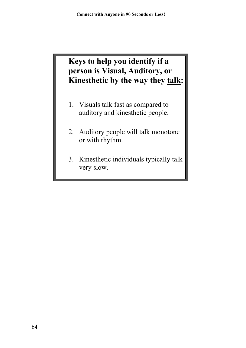#### **Keys to help you identify if a person is Visual, Auditory, or Kinesthetic by the way they talk:**

- 1. Visuals talk fast as compared to auditory and kinesthetic people.
- 2. Auditory people will talk monotone or with rhythm.
- 3. Kinesthetic individuals typically talk very slow.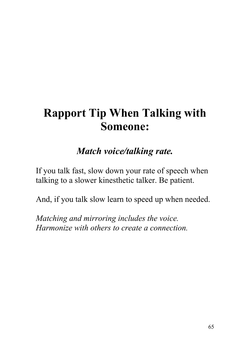# **Rapport Tip When Talking with Someone:**

# *Match voice/talking rate.*

If you talk fast, slow down your rate of speech when talking to a slower kinesthetic talker. Be patient.

And, if you talk slow learn to speed up when needed.

*Matching and mirroring includes the voice. Harmonize with others to create a connection.*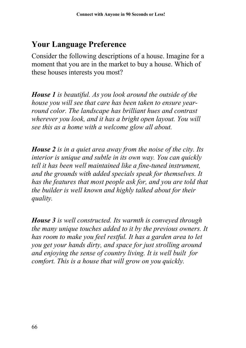### **Your Language Preference**

Consider the following descriptions of a house. Imagine for a moment that you are in the market to buy a house. Which of these houses interests you most?

*House 1 is beautiful. As you look around the outside of the house you will see that care has been taken to ensure yearround color. The landscape has brilliant hues and contrast wherever you look, and it has a bright open layout. You will see this as a home with a welcome glow all about.*

*House 2 is in a quiet area away from the noise of the city. Its interior is unique and subtle in its own way. You can quickly tell it has been well maintained like a fine-tuned instrument, and the grounds with added specials speak for themselves. It has the features that most people ask for, and you are told that the builder is well known and highly talked about for their quality.*

*House 3 is well constructed. Its warmth is conveyed through the many unique touches added to it by the previous owners. It has room to make you feel restful. It has a garden area to let you get your hands dirty, and space for just strolling around and enjoying the sense of country living. It is well built for comfort. This is a house that will grow on you quickly.*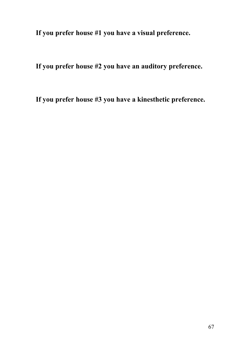**If you prefer house #1 you have a visual preference.**

**If you prefer house #2 you have an auditory preference.**

**If you prefer house #3 you have a kinesthetic preference.**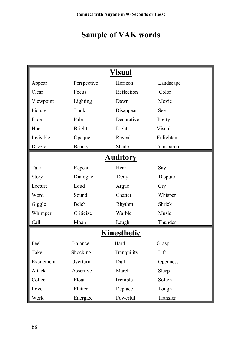# **Sample of VAK words**

| Visual             |               |             |             |
|--------------------|---------------|-------------|-------------|
| Appear             | Perspective   | Horizon     | Landscape   |
| Clear              | Focus         | Reflection  | Color       |
| Viewpoint          | Lighting      | Dawn        | Movie       |
| Picture            | Look          | Disappear   | See         |
| Fade               | Pale          | Decorative  | Pretty      |
| Hue                | <b>Bright</b> | Light       | Visual      |
| Invisible          | Opaque        | Reveal      | Enlighten   |
| Dazzle             | Beauty        | Shade       | Transparent |
| <b>Auditory</b>    |               |             |             |
| Talk               | Repeat        | Hear        | Say         |
| Story              | Dialogue      | Deny        | Dispute     |
| Lecture            | Loud          | Argue       | <b>Cry</b>  |
| Word               | Sound         | Chatter     | Whisper     |
| Giggle             | <b>Belch</b>  | Rhythm      | Shriek      |
| Whimper            | Criticize     | Warble      | Music       |
| Call               | Moan          | Laugh       | Thunder     |
| <b>Kinesthetic</b> |               |             |             |
| Feel               | Balance       | Hard        | Grasp       |
| Take               | Shocking      | Tranquility | Lift        |
| Excitement         | Overturn      | Dull        | Openness    |
| Attack             | Assertive     | March       | Sleep       |
| Collect            | Float         | Tremble     | Soften      |
| Love               | Flutter       | Replace     | Tough       |
| Work               | Energize      | Powerful    | Transfer    |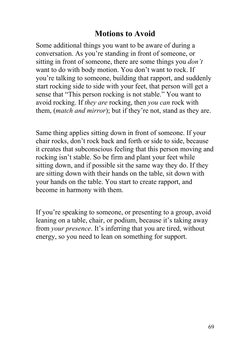#### **Motions to Avoid**

Some additional things you want to be aware of during a conversation. As you're standing in front of someone, or sitting in front of someone, there are some things you *don't* want to do with body motion. You don't want to rock. If you're talking to someone, building that rapport, and suddenly start rocking side to side with your feet, that person will get a sense that "This person rocking is not stable." You want to avoid rocking. If *they are* rocking, then *you can* rock with them, (*match and mirror*); but if they're not, stand as they are.

Same thing applies sitting down in front of someone. If your chair rocks, don't rock back and forth or side to side, because it creates that subconscious feeling that this person moving and rocking isn't stable. So be firm and plant your feet while sitting down, and if possible sit the same way they do. If they are sitting down with their hands on the table, sit down with your hands on the table. You start to create rapport, and become in harmony with them.

If you're speaking to someone, or presenting to a group, avoid leaning on a table, chair, or podium, because it's taking away from *your presence*. It's inferring that you are tired, without energy, so you need to lean on something for support.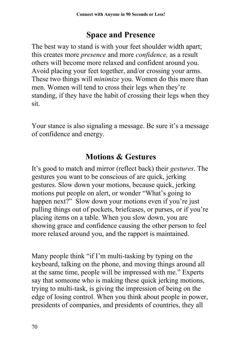### **Space and Presence**

The best way to stand is with your feet shoulder width apart; this creates more *presence* and more *confidence,* as a result others will become more relaxed and confident around you. Avoid placing your feet together, and/or crossing your arms. These two things will *minimize* you. Women do this more than men. Women will tend to cross their legs when they're standing, if they have the habit of crossing their legs when they sit.

Your stance is also signaling a message. Be sure it's a message of confidence and energy.

## **Motions & Gestures**

It's good to match and mirror (reflect back) their *gestures*. The gestures you want to be conscious of are quick, jerking gestures. Slow down your motions, because quick, jerking motions put people on alert, or wonder "What's going to happen next?" Slow down your motions even if you're just pulling things out of pockets, briefcases, or purses, or if you're placing items on a table. When you slow down, you are showing grace and confidence causing the other person to feel more relaxed around you, and the rapport is maintained.

Many people think "if I'm multi-tasking by typing on the keyboard, talking on the phone, and moving things around all at the same time, people will be impressed with me." Experts say that someone who is making these quick jerking motions, trying to multi-task, is giving the impression of being on the edge of losing control. When you think about people in power, presidents of companies, and presidents of countries, they all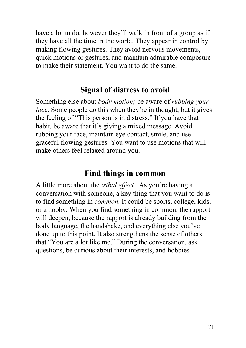have a lot to do, however they'll walk in front of a group as if they have all the time in the world. They appear in control by making flowing gestures. They avoid nervous movements, quick motions or gestures, and maintain admirable composure to make their statement. You want to do the same.

#### **Signal of distress to avoid**

Something else about *body motion;* be aware of *rubbing your face*. Some people do this when they're in thought, but it gives the feeling of "This person is in distress." If you have that habit, be aware that it's giving a mixed message. Avoid rubbing your face, maintain eye contact, smile, and use graceful flowing gestures. You want to use motions that will make others feel relaxed around you.

#### **Find things in common**

A little more about the *tribal effect.*. As you're having a conversation with someone, a key thing that you want to do is to find something in *common*. It could be sports, college, kids, or a hobby. When you find something in common, the rapport will deepen, because the rapport is already building from the body language, the handshake, and everything else you've done up to this point. It also strengthens the sense of others that "You are a lot like me." During the conversation, ask questions, be curious about their interests, and hobbies.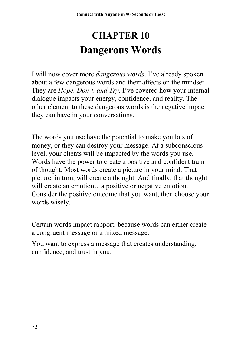# **CHAPTER 10 Dangerous Words**

I will now cover more *dangerous words*. I've already spoken about a few dangerous words and their affects on the mindset. They are *Hope, Don't, and Try*. I've covered how your internal dialogue impacts your energy, confidence, and reality. The other element to these dangerous words is the negative impact they can have in your conversations.

The words you use have the potential to make you lots of money, or they can destroy your message. At a subconscious level, your clients will be impacted by the words you use. Words have the power to create a positive and confident train of thought. Most words create a picture in your mind. That picture, in turn, will create a thought. And finally, that thought will create an emotion...a positive or negative emotion. Consider the positive outcome that you want, then choose your words wisely.

Certain words impact rapport, because words can either create a congruent message or a mixed message.

You want to express a message that creates understanding, confidence, and trust in you.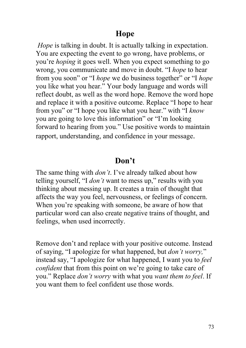#### **Hope**

*Hope* is talking in doubt. It is actually talking in expectation. You are expecting the event to go wrong, have problems, or you're *hoping* it goes well. When you expect something to go wrong, you communicate and move in doubt. "I *hope* to hear from you soon" or "I *hope* we do business together" or "I *hope* you like what you hear." Your body language and words will reflect doubt, as well as the word hope. Remove the word hope and replace it with a positive outcome. Replace "I hope to hear from you" or "I hope you like what you hear." with "I *know* you are going to love this information" or "I'm looking forward to hearing from you." Use positive words to maintain rapport, understanding, and confidence in your message.

#### **Don't**

The same thing with *don't*. I've already talked about how telling yourself, "I *don't* want to mess up," results with you thinking about messing up. It creates a train of thought that affects the way you feel, nervousness, or feelings of concern. When you're speaking with someone, be aware of how that particular word can also create negative trains of thought, and feelings, when used incorrectly.

Remove don't and replace with your positive outcome. Instead of saying, "I apologize for what happened, but *don't worry,*" instead say, "I apologize for what happened, I want you to *feel confident* that from this point on we're going to take care of you." Replace *don't worry* with what you *want them to feel*. If you want them to feel confident use those words.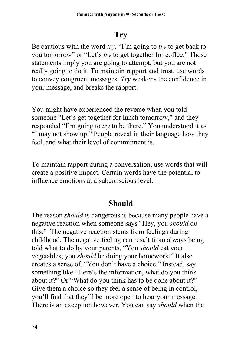### **Try**

Be cautious with the word *try.* "I'm going to *try* to get back to you tomorrow" or "Let's *try* to get together for coffee." Those statements imply you are going to attempt, but you are not really going to do it. To maintain rapport and trust, use words to convey congruent messages. *Try* weakens the confidence in your message, and breaks the rapport.

You might have experienced the reverse when you told someone "Let's get together for lunch tomorrow," and they responded "I'm going to *try* to be there." You understood it as "I may not show up." People reveal in their language how they feel, and what their level of commitment is.

To maintain rapport during a conversation, use words that will create a positive impact. Certain words have the potential to influence emotions at a subconscious level.

### **Should**

The reason *should* is dangerous is because many people have a negative reaction when someone says "Hey, you *should* do this." The negative reaction stems from feelings during childhood. The negative feeling can result from always being told what to do by your parents, "You *should* eat your vegetables; you *should* be doing your homework." It also creates a sense of, "You don't have a choice." Instead, say something like "Here's the information, what do you think about it?" Or "What do you think has to be done about it?" Give them a choice so they feel a sense of being in control, you'll find that they'll be more open to hear your message. There is an exception however. You can say *should* when the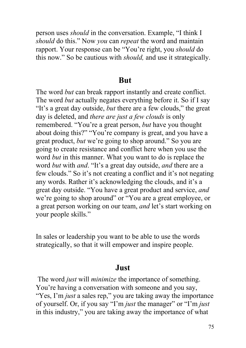person uses *should* in the conversation. Example, "I think I *should* do this." Now *you* can *repeat* the word and maintain rapport. Your response can be "You're right, you *should* do this now." So be cautious with *should,* and use it strategically.

#### **But**

The word *but* can break rapport instantly and create conflict. The word *but* actually negates everything before it. So if I say "It's a great day outside, *but* there are a few clouds," the great day is deleted, and *there are just a few clouds* is only remembered. "You're a great person, *but* have you thought about doing this?" "You're company is great, and you have a great product, *but* we're going to shop around." So you are going to create resistance and conflict here when you use the word *but* in this manner. What you want to do is replace the word *but* with *and*. "It's a great day outside, *and* there are a few clouds." So it's not creating a conflict and it's not negating any words. Rather it's acknowledging the clouds, and it's a great day outside. "You have a great product and service, *and* we're going to shop around" or "You are a great employee, or a great person working on our team, *and* let's start working on your people skills."

In sales or leadership you want to be able to use the words strategically, so that it will empower and inspire people.

#### **Just**

The word *just* will *minimize* the importance of something. You're having a conversation with someone and you say, "Yes, I'm *just* a sales rep," you are taking away the importance of yourself. Or, if you say "I'm *just* the manager" or "I'm *just* in this industry," you are taking away the importance of what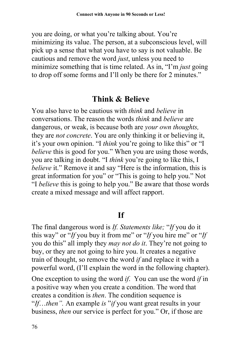you are doing, or what you're talking about. You're minimizing its value. The person, at a subconscious level, will pick up a sense that what you have to say is not valuable. Be cautious and remove the word *just*, unless you need to minimize something that is time related. As in, "I'm *just* going to drop off some forms and I'll only be there for 2 minutes."

### **Think & Believe**

You also have to be cautious with *think* and *believe* in conversations. The reason the words *think* and *believe* are dangerous, or weak, is because both are *your own thoughts,* they are *not concrete*. You are only thinking it or believing it, it's your own opinion. "I *think* you're going to like this" or "I *believe* this is good for you." When you are using those words, you are talking in doubt. "I *think* you're going to like this, I *believe* it." Remove it and say "Here is the information, this is great information for you" or "This is going to help you." Not "I *believe* this is going to help you." Be aware that those words create a mixed message and will affect rapport.

### **If**

The final dangerous word is *If. Statements like;* "*If* you do it this way" or "*If* you buy it from me" or "*If* you hire me" or "*If* you do this" all imply they *may not do it*. They're not going to buy, or they are not going to hire you. It creates a negative train of thought, so remove the word *if* and replace it with a powerful word, (I'll explain the word in the following chapter).

One exception to using the word *if*. You can use the word *if* in a positive way when you create a condition. The word that creates a condition is *then*. The condition sequence is "*If*…*then".* An example *is* "*if* you want great results in your business, *then* our service is perfect for you." Or, if those are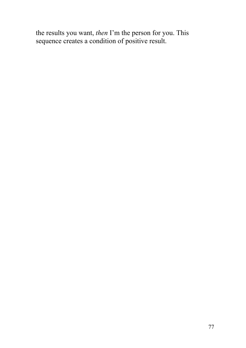the results you want, *then* I'm the person for you. This sequence creates a condition of positive result.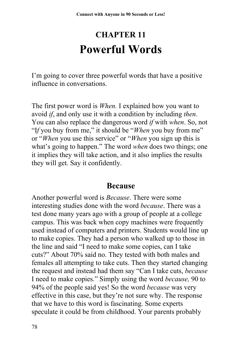# **CHAPTER 11 Powerful Words**

I'm going to cover three powerful words that have a positive influence in conversations.

The first power word is *When.* I explained how you want to avoid *if*, and only use it with a condition by including *then*. You can also replace the dangerous word *if* with *when*. So, not "I*f* you buy from me," it should be "*When* you buy from me" or "*When* you use this service" or "*When* you sign up this is what's going to happen." The word *when* does two things; one it implies they will take action, and it also implies the results they will get. Say it confidently.

#### **Because**

Another powerful word is *Because*. There were some interesting studies done with the word *because*. There was a test done many years ago with a group of people at a college campus. This was back when copy machines were frequently used instead of computers and printers. Students would line up to make copies. They had a person who walked up to those in the line and said "I need to make some copies, can I take cuts?" About 70% said no. They tested with both males and females all attempting to take cuts. Then they started changing the request and instead had them say "Can I take cuts, *because* I need to make copies." Simply using the word *because,* 90 to 94% of the people said yes! So the word *because* was very effective in this case, but they're not sure why. The response that we have to this word is fascinating. Some experts speculate it could be from childhood. Your parents probably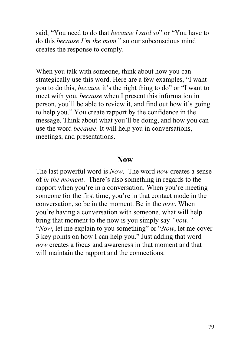said, "You need to do that *because I said so*" or "You have to do this *because I'm the mom,*" so our subconscious mind creates the response to comply.

When you talk with someone, think about how you can strategically use this word. Here are a few examples, "I want you to do this, *because* it's the right thing to do" or "I want to meet with you, *because* when I present this information in person, you'll be able to review it, and find out how it's going to help you." You create rapport by the confidence in the message. Think about what you'll be doing, and how you can use the word *because*. It will help you in conversations, meetings, and presentations.

#### **Now**

The last powerful word is *Now*. The word *now* creates a sense of *in the moment*. There's also something in regards to the rapport when you're in a conversation. When you're meeting someone for the first time, you're in that contact mode in the conversation, so be in the moment. Be in the *now*. When you're having a conversation with someone, what will help bring that moment to the now is you simply say *"now."* "*Now*, let me explain to you something" or "*Now*, let me cover 3 key points on how I can help you." Just adding that word *now* creates a focus and awareness in that moment and that will maintain the rapport and the connections.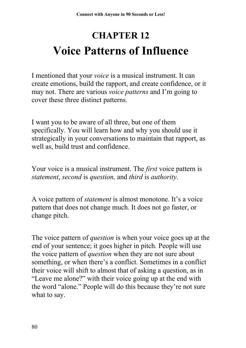# **CHAPTER 12 Voice Patterns of Influence**

I mentioned that your *voice* is a musical instrument. It can create emotions, build the rapport, and create confidence, or it may not. There are various *voice patterns* and I'm going to cover these three distinct patterns.

I want you to be aware of all three, but one of them specifically. You will learn how and why you should use it strategically in your conversations to maintain that rapport, as well as, build trust and confidence.

Your voice is a musical instrument. The *first* voice pattern is *statement*, *second* is *question,* and *third* is *authority*.

A voice pattern of *statement* is almost monotone. It's a voice pattern that does not change much. It does not go faster, or change pitch.

The voice pattern of *question* is when your voice goes up at the end of your sentence; it goes higher in pitch. People will use the voice pattern of *question* when they are not sure about something, or when there's a conflict. Sometimes in a conflict their voice will shift to almost that of asking a question, as in "Leave me alone?" with their voice going up at the end with the word "alone." People will do this because they're not sure what to say.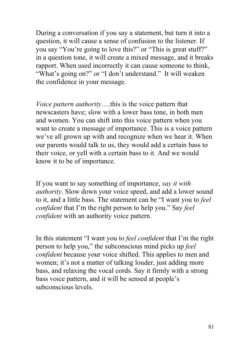During a conversation if you say a statement, but turn it into a question, it will cause a sense of confusion to the listener. If you say "You're going to love this?" or "This is great stuff?" in a question tone, it will create a mixed message, and it breaks rapport. When used incorrectly it can cause someone to think, "What's going on?" or "I don't understand." It will weaken the confidence in your message.

*Voice pattern authority*….this is the voice pattern that newscasters have; slow with a lower bass tone, in both men and women. You can shift into this voice pattern when you want to create a message of importance. This is a voice pattern we've all grown up with and recognize when we hear it. When our parents would talk to us, they would add a certain bass to their voice, or yell with a certain bass to it. And we would know it to be of importance.

If you want to say something of importance, *say it with authority*. Slow down your voice speed, and add a lower sound to it, and a little bass. The statement can be "I want you to *feel confident* that I'm the right person to help you." Say *feel confident* with an authority voice pattern.

In this statement "I want you to *feel confident* that I'm the right person to help you," the subconscious mind picks up *feel confident* because your voice shifted. This applies to men and women; it's not a matter of talking louder, just adding more bass, and relaxing the vocal cords. Say it firmly with a strong bass voice pattern, and it will be sensed at people's subconscious levels.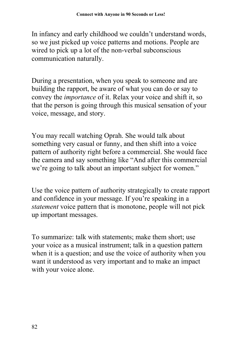In infancy and early childhood we couldn't understand words, so we just picked up voice patterns and motions. People are wired to pick up a lot of the non-verbal subconscious communication naturally.

During a presentation, when you speak to someone and are building the rapport, be aware of what you can do or say to convey the *importance* of it. Relax your voice and shift it, so that the person is going through this musical sensation of your voice, message, and story.

You may recall watching Oprah. She would talk about something very casual or funny, and then shift into a voice pattern of authority right before a commercial. She would face the camera and say something like "And after this commercial we're going to talk about an important subject for women."

Use the voice pattern of authority strategically to create rapport and confidence in your message. If you're speaking in a *statement* voice pattern that is monotone, people will not pick up important messages.

To summarize: talk with statements; make them short; use your voice as a musical instrument; talk in a question pattern when it is a question; and use the voice of authority when you want it understood as very important and to make an impact with your voice alone.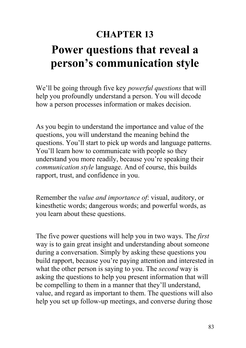# **CHAPTER 13 Power questions that reveal a person's communication style**

We'll be going through five key *powerful questions* that will help you profoundly understand a person. You will decode how a person processes information or makes decision.

As you begin to understand the importance and value of the questions, you will understand the meaning behind the questions. You'll start to pick up words and language patterns. You'll learn how to communicate with people so they understand you more readily, because you're speaking their *communication style* language. And of course, this builds rapport, trust, and confidence in you.

Remember the *value and importance of*: visual, auditory, or kinesthetic words; dangerous words; and powerful words, as you learn about these questions.

The five power questions will help you in two ways. The *first* way is to gain great insight and understanding about someone during a conversation. Simply by asking these questions you build rapport, because you're paying attention and interested in what the other person is saying to you. The *second* way is asking the questions to help you present information that will be compelling to them in a manner that they'll understand, value, and regard as important to them. The questions will also help you set up follow-up meetings, and converse during those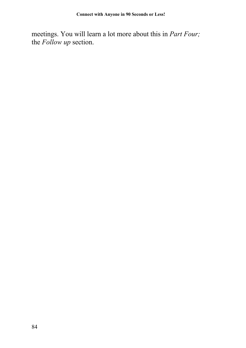meetings. You will learn a lot more about this in *Part Four;* the *Follow up* section.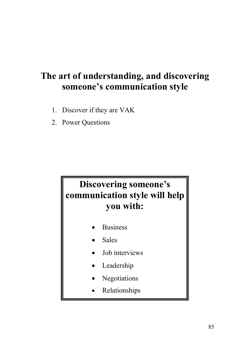## **The art of understanding, and discovering someone's communication style**

- 1. Discover if they are VAK
- 2. Power Questions

# **Discovering someone's communication style will help you with:**

- Business
- Sales
- Job interviews
- Leadership
- Negotiations
- Relationships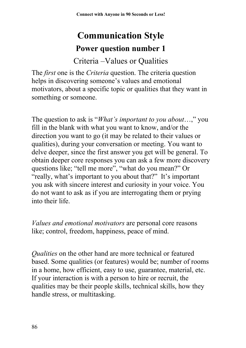# **Communication Style Power question number 1**

### Criteria –Values or Qualities

The *first* one is the *Criteria* question. The criteria question helps in discovering someone's values and emotional motivators, about a specific topic or qualities that they want in something or someone.

The question to ask is "*What's important to you about*…," you fill in the blank with what you want to know, and/or the direction you want to go (it may be related to their values or qualities), during your conversation or meeting. You want to delve deeper, since the first answer you get will be general. To obtain deeper core responses you can ask a few more discovery questions like; "tell me more", "what do you mean?" Or "really, what's important to you about that?" It's important you ask with sincere interest and curiosity in your voice. You do not want to ask as if you are interrogating them or prying into their life.

*Values and emotional motivators* are personal core reasons like; control, freedom, happiness, peace of mind.

*Qualities* on the other hand are more technical or featured based. Some qualities (or features) would be; number of rooms in a home, how efficient, easy to use, guarantee, material, etc. If your interaction is with a person to hire or recruit, the qualities may be their people skills, technical skills, how they handle stress, or multitasking.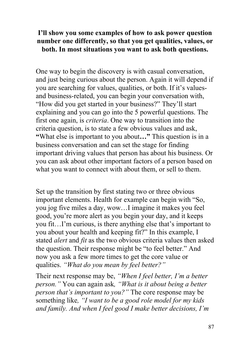#### **I'll show you some examples of how to ask power question number one differently, so that you get qualities, values, or both. In most situations you want to ask both questions.**

One way to begin the discovery is with casual conversation, and just being curious about the person. Again it will depend if you are searching for values, qualities, or both. If it's valuesand business-related, you can begin your conversation with, "How did you get started in your business?" They'll start explaining and you can go into the 5 powerful questions. The first one again, is *criteria*. One way to transition into the criteria question, is to state a few obvious values and ask, **"**What else is important to you about**…"** This question is in a business conversation and can set the stage for finding important driving values that person has about his business. Or you can ask about other important factors of a person based on what you want to connect with about them, or sell to them.

Set up the transition by first stating two or three obvious important elements. Health for example can begin with "So, you jog five miles a day, wow…I imagine it makes you feel good, you're more alert as you begin your day, and it keeps you fit…I'm curious, is there anything else that's important to you about your health and keeping fit?" In this example, I stated *alert* and *fit* as the two obvious criteria values then asked the question. Their response might be "to feel better." And now you ask a few more times to get the core value or qualities. *"What do you mean by feel better?"*

Their next response may be, *"When I feel better, I'm a better person."* You can again ask*, "What is it about being a better person that's important to you?"* The core response may be something like*, "I want to be a good role model for my kids and family. And when I feel good I make better decisions, I'm*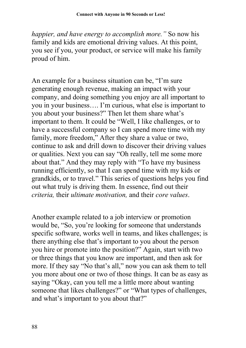*happier, and have energy to accomplish more."* So now his family and kids are emotional driving values. At this point, you see if you, your product, or service will make his family proud of him.

An example for a business situation can be, "I'm sure generating enough revenue, making an impact with your company, and doing something you enjoy are all important to you in your business…. I'm curious, what else is important to you about your business?" Then let them share what's important to them. It could be "Well, I like challenges, or to have a successful company so I can spend more time with my family, more freedom," After they share a value or two, continue to ask and drill down to discover their driving values or qualities. Next you can say "Oh really, tell me some more about that." And they may reply with "To have my business running efficiently, so that I can spend time with my kids or grandkids, or to travel." This series of questions helps you find out what truly is driving them. In essence, find out their *criteria,* their *ultimate motivation,* and their *core values*.

Another example related to a job interview or promotion would be, "So, you're looking for someone that understands specific software, works well in teams, and likes challenges; is there anything else that's important to you about the person you hire or promote into the position?" Again, start with two or three things that you know are important, and then ask for more. If they say "No that's all," now you can ask them to tell you more about one or two of those things. It can be as easy as saying "Okay, can you tell me a little more about wanting someone that likes challenges?" or "What types of challenges, and what's important to you about that?"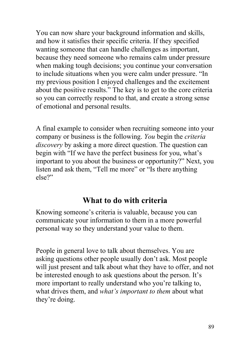You can now share your background information and skills, and how it satisfies their specific criteria. If they specified wanting someone that can handle challenges as important, because they need someone who remains calm under pressure when making tough decisions; you continue your conversation to include situations when you were calm under pressure. "In my previous position I enjoyed challenges and the excitement about the positive results." The key is to get to the core criteria so you can correctly respond to that, and create a strong sense of emotional and personal results.

A final example to consider when recruiting someone into your company or business is the following. *You* begin the *criteria discovery* by asking a more direct question. The question can begin with "If we have the perfect business for you, what's important to you about the business or opportunity?" Next, you listen and ask them, "Tell me more" or "Is there anything else?"

### **What to do with criteria**

Knowing someone's criteria is valuable, because you can communicate your information to them in a more powerful personal way so they understand your value to them.

People in general love to talk about themselves. You are asking questions other people usually don't ask. Most people will just present and talk about what they have to offer, and not be interested enough to ask questions about the person. It's more important to really understand who you're talking to, what drives them, and *what's important to them* about what they're doing.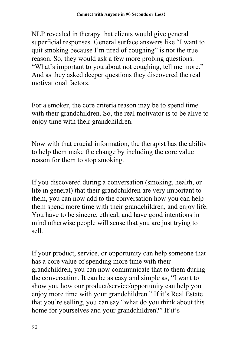NLP revealed in therapy that clients would give general superficial responses. General surface answers like "I want to quit smoking because I'm tired of coughing" is not the true reason. So, they would ask a few more probing questions. "What's important to you about not coughing, tell me more." And as they asked deeper questions they discovered the real motivational factors.

For a smoker, the core criteria reason may be to spend time with their grandchildren. So, the real motivator is to be alive to enjoy time with their grandchildren.

Now with that crucial information, the therapist has the ability to help them make the change by including the core value reason for them to stop smoking.

If you discovered during a conversation (smoking, health, or life in general) that their grandchildren are very important to them, you can now add to the conversation how you can help them spend more time with their grandchildren, and enjoy life. You have to be sincere, ethical, and have good intentions in mind otherwise people will sense that you are just trying to sell.

If your product, service, or opportunity can help someone that has a core value of spending more time with their grandchildren, you can now communicate that to them during the conversation. It can be as easy and simple as, "I want to show you how our product/service/opportunity can help you enjoy more time with your grandchildren." If it's Real Estate that you're selling, you can say "what do you think about this home for yourselves and your grandchildren?" If it's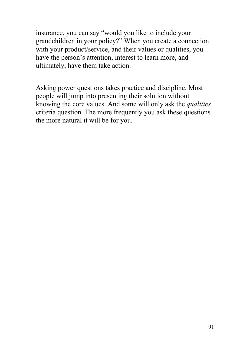insurance, you can say "would you like to include your grandchildren in your policy?" When you create a connection with your product/service, and their values or qualities, you have the person's attention, interest to learn more, and ultimately, have them take action.

Asking power questions takes practice and discipline. Most people will jump into presenting their solution without knowing the core values. And some will only ask the *qualities* criteria question. The more frequently you ask these questions the more natural it will be for you.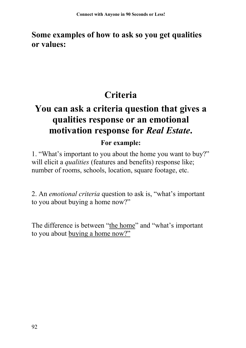### **Some examples of how to ask so you get qualities or values:**

# **Criteria**

# **You can ask a criteria question that gives a qualities response or an emotional motivation response for** *Real Estate***.**

### **For example:**

1. "What's important to you about the home you want to buy?" will elicit a *qualities* (features and benefits) response like; number of rooms, schools, location, square footage, etc.

2. An *emotional criteria* question to ask is, "what's important to you about buying a home now?"

The difference is between "the home" and "what's important to you about buying a home now?"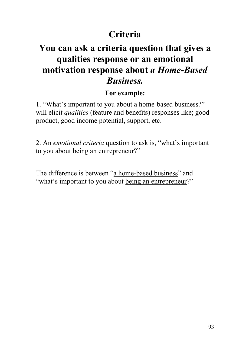## **Criteria**

### **You can ask a criteria question that gives a qualities response or an emotional motivation response about** *a Home-Based Business.*

#### **For example:**

1. "What's important to you about a home-based business?" will elicit *qualities* (feature and benefits) responses like; good product, good income potential, support, etc.

2. An *emotional criteria* question to ask is, "what's important to you about being an entrepreneur?"

The difference is between "a home-based business" and "what's important to you about being an entrepreneur?"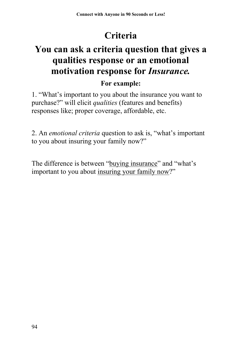# **Criteria**

# **You can ask a criteria question that gives a qualities response or an emotional motivation response for** *Insurance.*

### **For example:**

1. "What's important to you about the insurance you want to purchase?" will elicit *qualities* (features and benefits) responses like; proper coverage, affordable, etc.

2. An *emotional criteria* question to ask is, "what's important to you about insuring your family now?"

The difference is between "buying insurance" and "what's important to you about insuring your family now?"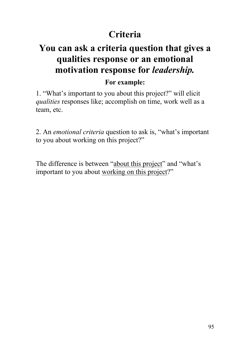## **Criteria**

# **You can ask a criteria question that gives a qualities response or an emotional motivation response for** *leadership.*

#### **For example:**

1. "What's important to you about this project?" will elicit *qualities* responses like; accomplish on time, work well as a team, etc.

2. An *emotional criteria* question to ask is, "what's important to you about working on this project?"

The difference is between "about this project" and "what's important to you about working on this project?"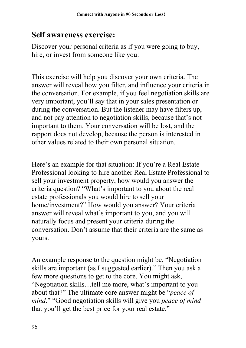### **Self awareness exercise:**

Discover your personal criteria as if you were going to buy, hire, or invest from someone like you:

This exercise will help you discover your own criteria. The answer will reveal how you filter, and influence your criteria in the conversation. For example, if you feel negotiation skills are very important, you'll say that in your sales presentation or during the conversation. But the listener may have filters up, and not pay attention to negotiation skills, because that's not important to them. Your conversation will be lost, and the rapport does not develop, because the person is interested in other values related to their own personal situation.

Here's an example for that situation: If you're a Real Estate Professional looking to hire another Real Estate Professional to sell your investment property, how would you answer the criteria question? "What's important to you about the real estate professionals you would hire to sell your home/investment?" How would you answer? Your criteria answer will reveal what's important to you, and you will naturally focus and present your criteria during the conversation. Don't assume that their criteria are the same as yours.

An example response to the question might be, "Negotiation skills are important (as I suggested earlier)." Then you ask a few more questions to get to the core. You might ask, "Negotiation skills…tell me more, what's important to you about that?" The ultimate core answer might be "*peace of mind*." "Good negotiation skills will give you *peace of mind* that you'll get the best price for your real estate."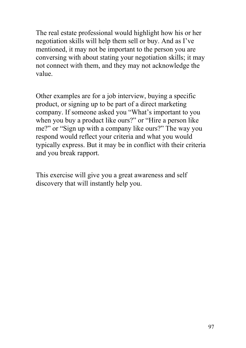The real estate professional would highlight how his or her negotiation skills will help them sell or buy. And as I've mentioned, it may not be important to the person you are conversing with about stating your negotiation skills; it may not connect with them, and they may not acknowledge the value.

Other examples are for a job interview, buying a specific product, or signing up to be part of a direct marketing company. If someone asked you "What's important to you when you buy a product like ours?" or "Hire a person like me?" or "Sign up with a company like ours?" The way you respond would reflect your criteria and what you would typically express. But it may be in conflict with their criteria and you break rapport.

This exercise will give you a great awareness and self discovery that will instantly help you.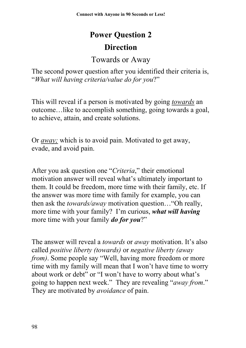# **Power Question 2 Direction**

### Towards or Away

The second power question after you identified their criteria is, "*What will having criteria/value do for you*?"

This will reveal if a person is motivated by going *towards* an outcome…like to accomplish something, going towards a goal, to achieve, attain, and create solutions.

Or *away;* which is to avoid pain. Motivated to get away, evade, and avoid pain.

After you ask question one "*Criteria*," their emotional motivation answer will reveal what's ultimately important to them. It could be freedom, more time with their family, etc. If the answer was more time with family for example, you can then ask the *towards/away* motivation question…"Oh really, more time with your family? I'm curious, *what will having* more time with your family *do for you*?"

The answer will reveal a *towards* or *away* motivation. It's also called *positive liberty (towards)* or *negative liberty (away from)*. Some people say "Well, having more freedom or more time with my family will mean that I won't have time to worry about work or debt" or "I won't have to worry about what's going to happen next week." They are revealing "*away from*." They are motivated by *avoidance* of pain.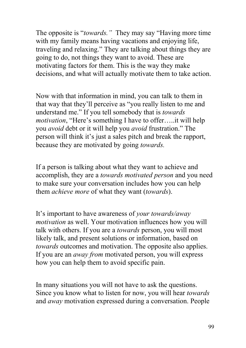The opposite is "*towards."* They may say "Having more time with my family means having vacations and enjoying life, traveling and relaxing." They are talking about things they are going to do, not things they want to avoid. These are motivating factors for them. This is the way they make decisions, and what will actually motivate them to take action.

Now with that information in mind, you can talk to them in that way that they'll perceive as "you really listen to me and understand me." If you tell somebody that is *towards motivation*, "Here's something I have to offer…..it will help you *avoid* debt or it will help you *avoid* frustration." The person will think it's just a sales pitch and break the rapport, because they are motivated by going *towards.*

If a person is talking about what they want to achieve and accomplish, they are a *towards motivated person* and you need to make sure your conversation includes how you can help them *achieve more* of what they want (*towards*).

It's important to have awareness of *your towards/away motivation* as well. Your motivation influences how you will talk with others. If you are a *towards* person, you will most likely talk, and present solutions or information, based on *towards* outcomes and motivation. The opposite also applies. If you are an *away from* motivated person, you will express how you can help them to avoid specific pain.

In many situations you will not have to ask the questions. Since you know what to listen for now, you will hear *towards* and *away* motivation expressed during a conversation. People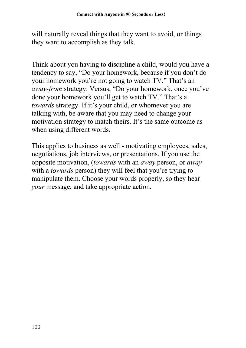will naturally reveal things that they want to avoid, or things they want to accomplish as they talk.

Think about you having to discipline a child, would you have a tendency to say, "Do your homework, because if you don't do your homework you're not going to watch TV." That's an *away-from* strategy. Versus, "Do your homework, once you've done your homework you'll get to watch TV." That's a *towards* strategy. If it's your child, or whomever you are talking with, be aware that you may need to change your motivation strategy to match theirs. It's the same outcome as when using different words.

This applies to business as well - motivating employees, sales, negotiations, job interviews, or presentations. If you use the opposite motivation, (*towards* with an *away* person, or *away* with a *towards* person) they will feel that you're trying to manipulate them. Choose your words properly, so they hear *your* message, and take appropriate action.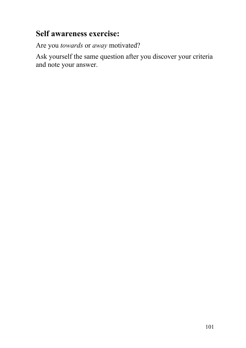### **Self awareness exercise:**

Are you *towards* or *away* motivated?

Ask yourself the same question after you discover your criteria and note your answer.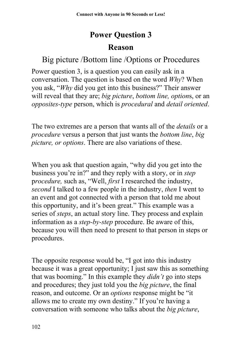# **Power Question 3**

### **Reason**

### Big picture /Bottom line /Options or Procedures

Power question 3, is a question you can easily ask in a conversation. The question is based on the word *Why*? When you ask, "*Why* did you get into this business?" Their answer will reveal that they are; *big picture*, *bottom line, option*s, or an *opposites-type* person, which is *procedural* and *detail oriented*.

The two extremes are a person that wants all of the *details* or a *procedure* versus a person that just wants the *bottom line*, *big picture, or options*. There are also variations of these.

When you ask that question again, "why did you get into the business you're in?" and they reply with a story, or in *step* p*rocedure,* such as, "Well, *first* I researched the industry, *second* I talked to a few people in the industry, *then* I went to an event and got connected with a person that told me about this opportunity, and it's been great." This example was a series of *steps*, an actual story line. They process and explain information as a *step-by-step* procedure. Be aware of this, because you will then need to present to that person in steps or procedures.

The opposite response would be, "I got into this industry because it was a great opportunity; I just saw this as something that was booming." In this example they *didn't* go into steps and procedures; they just told you the *big picture*, the final reason, and outcome. Or an *options* response might be "it allows me to create my own destiny." If you're having a conversation with someone who talks about the *big picture*,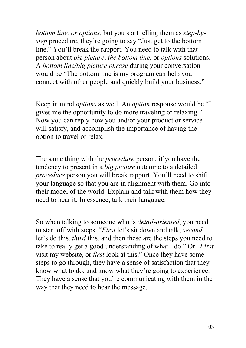*bottom line, or options,* but you start telling them as *step-bystep* procedure, they're going to say "Just get to the bottom line." You'll break the rapport. You need to talk with that person about *big picture*, *the bottom line*, or *options* solutions. A *bottom line/big picture phrase* during your conversation would be "The bottom line is my program can help you connect with other people and quickly build your business."

Keep in mind *options* as well. An *option* response would be "It gives me the opportunity to do more traveling or relaxing." Now you can reply how you and/or your product or service will satisfy, and accomplish the importance of having the option to travel or relax.

The same thing with the *procedure* person; if you have the tendency to present in a *big picture* outcome to a detailed *procedure* person you will break rapport. You'll need to shift your language so that you are in alignment with them. Go into their model of the world. Explain and talk with them how they need to hear it. In essence, talk their language.

So when talking to someone who is *detail-oriented*, you need to start off with steps. "*First* let's sit down and talk, *second* let's do this, *third* this, and then these are the steps you need to take to really get a good understanding of what I do." Or "*First* visit my website, or *first* look at this." Once they have some steps to go through, they have a sense of satisfaction that they know what to do, and know what they're going to experience. They have a sense that you're communicating with them in the way that they need to hear the message.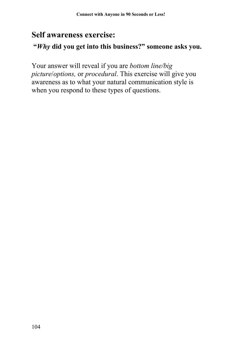### **Self awareness exercise:**

#### **"***Why* **did you get into this business?" someone asks you.**

Your answer will reveal if you are *bottom line/big picture*/*options,* or *procedural*. This exercise will give you awareness as to what your natural communication style is when you respond to these types of questions.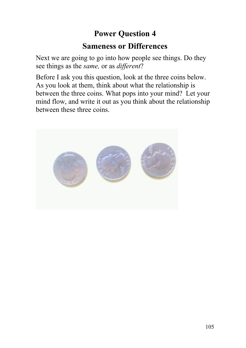### **Power Question 4**

### **Sameness or Differences**

Next we are going to go into how people see things. Do they see things as the *same,* or as *different*?

Before I ask you this question, look at the three coins below. As you look at them, think about what the relationship is between the three coins. What pops into your mind? Let your mind flow, and write it out as you think about the relationship between these three coins.

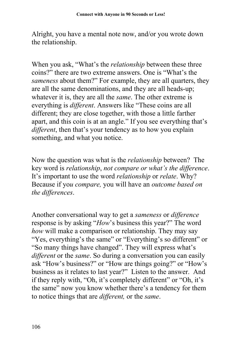Alright, you have a mental note now, and/or you wrote down the relationship.

When you ask, "What's the *relationship* between these three coins?" there are two extreme answers. One is "What's the *sameness* about them?" For example, they are all quarters, they are all the same denominations, and they are all heads-up; whatever it is, they are all the *same*. The other extreme is everything is *different*. Answers like "These coins are all different; they are close together, with those a little farther apart, and this coin is at an angle." If you see everything that's *different*, then that's your tendency as to how you explain something, and what you notice.

Now the question was what is the *relationship* between? The key word is *relationship*, *not compare or what's the difference*. It's important to use the word *relationship* or *relate*. Why? Because if yo*u compare,* you will have an *outcome based on the differences*.

Another conversational way to get a *sameness* or *difference* response is by asking "*How*'s business this year?" The word *how* will make a comparison or relationship. They may say "Yes, everything's the same" or "Everything's so different" or "So many things have changed". They will express what's *different* or the *same*. So during a conversation you can easily ask "How's business?" or "How are things going?" or "How's business as it relates to last year?" Listen to the answer. And if they reply with, "Oh, it's completely different" or "Oh, it's the same" now you know whether there's a tendency for them to notice things that are *different,* or the *same*.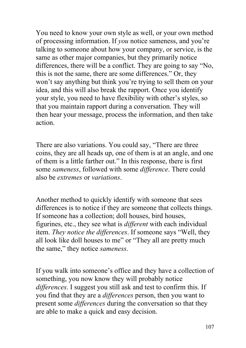You need to know your own style as well, or your own method of processing information. If *you* notice sameness, and you're talking to someone about how your company, or service, is the same as other major companies, but they primarily notice differences, there will be a conflict. They are going to say "No, this is not the same, there are some differences." Or, they won't say anything but think you're trying to sell them on your idea, and this will also break the rapport. Once you identify your style, you need to have flexibility with other's styles, so that you maintain rapport during a conversation. They will then hear your message, process the information, and then take action.

There are also variations. You could say, "There are three coins, they are all heads up, one of them is at an angle, and one of them is a little farther out." In this response, there is first some *sameness*, followed with some *difference*. There could also be *extremes* or *variations*.

Another method to quickly identify with someone that sees differences is to notice if they are someone that collects things. If someone has a collection; doll houses, bird houses, figurines, etc., they see what is *different* with each individual item. *They notice the differences*. If someone says "Well, they all look like doll houses to me" or "They all are pretty much the same," they notice *sameness*.

If you walk into someone's office and they have a collection of something, you now know they will probably notice *differences*. I suggest you still ask and test to confirm this. If you find that they are a *differences* person, then you want to present some *differences* during the conversation so that they are able to make a quick and easy decision.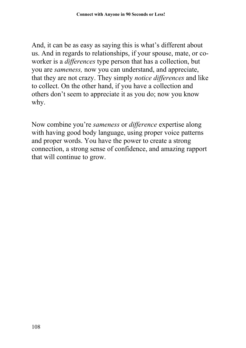And, it can be as easy as saying this is what's different about us. And in regards to relationships, if your spouse, mate, or coworker is a *differences* type person that has a collection, but you are *sameness,* now you can understand, and appreciate, that they are not crazy. They simply *notice differences* and like to collect. On the other hand, if you have a collection and others don't seem to appreciate it as you do; now you know why.

Now combine you're *sameness* or *difference* expertise along with having good body language, using proper voice patterns and proper words. You have the power to create a strong connection, a strong sense of confidence, and amazing rapport that will continue to grow.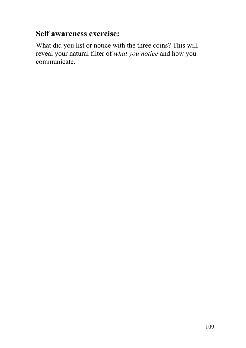# **Self awareness exercise:**

What did you list or notice with the three coins? This will reveal your natural filter of *what you notice* and how you communicate.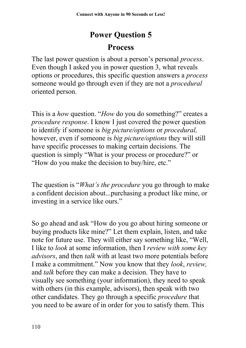# **Power Question 5**

### **Process**

The last power question is about a person's personal *process*. Even though I asked you in power question 3, what reveals options or procedures, this specific question answers a *process* someone would go through even if they are not a *procedural* oriented person.

This is a *how* question. "*How* do you do something?" creates a *procedure response*. I know I just covered the power question to identify if someone is *big picture/options* or *procedural,* however, even if someone is *big picture/options* they will still have specific processes to making certain decisions. The question is simply "What is your process or procedure?" or "How do you make the decision to buy/hire, etc."

The question is "*What's the procedure* you go through to make a confident decision about...purchasing a product like mine, or investing in a service like ours."

So go ahead and ask "How do you go about hiring someone or buying products like mine?" Let them explain, listen, and take note for future use. They will either say something like, "Well, I like to *look* at some information, then I *review with some key advisors*, and then *talk* with at least two more potentials before I make a commitment." Now you know that they *look*, *review,* and *talk* before they can make a decision. They have to visually see something (your information), they need to speak with others (in this example, advisors), then speak with two other candidates. They go through a specific *procedure* that you need to be aware of in order for you to satisfy them. This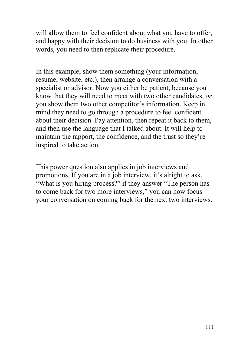will allow them to feel confident about what you have to offer, and happy with their decision to do business with you. In other words, you need to then replicate their procedure.

In this example, show them something (your information, resume, website, etc.), then arrange a conversation with a specialist or advisor. Now you either be patient, because you know that they will need to meet with two other candidates, *or* you show them two other competitor's information. Keep in mind they need to go through a procedure to feel confident about their decision. Pay attention, then repeat it back to them, and then use the language that I talked about. It will help to maintain the rapport, the confidence, and the trust so they're inspired to take action.

This power question also applies in job interviews and promotions. If you are in a job interview, it's alright to ask, "What is you hiring process?" if they answer "The person has to come back for two more interviews," you can now focus your conversation on coming back for the next two interviews.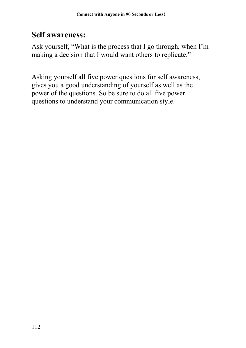### **Self awareness:**

Ask yourself, "What is the process that I go through, when I'm making a decision that I would want others to replicate."

Asking yourself all five power questions for self awareness, gives you a good understanding of yourself as well as the power of the questions. So be sure to do all five power questions to understand your communication style.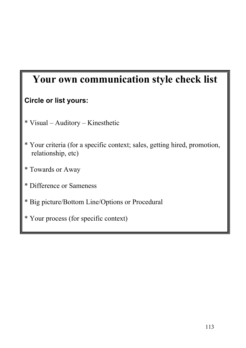# **Your own communication style check list**

#### **Circle or list yours:**

- \* Visual Auditory Kinesthetic
- \* Your criteria (for a specific context; sales, getting hired, promotion, relationship, etc)
- \* Towards or Away
- \* Difference or Sameness
- \* Big picture/Bottom Line/Options or Procedural
- \* Your process (for specific context)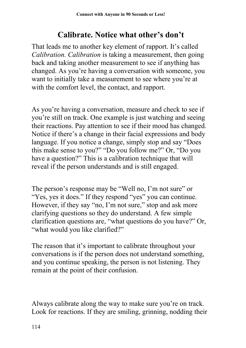# **Calibrate. Notice what other's don't**

That leads me to another key element of rapport. It's called *Calibration. Calibration* is taking a measurement, then going back and taking another measurement to see if anything has changed. As you're having a conversation with someone, you want to initially take a measurement to see where you're at with the comfort level, the contact, and rapport.

As you're having a conversation, measure and check to see if you're still on track. One example is just watching and seeing their reactions. Pay attention to see if their mood has changed. Notice if there's a change in their facial expressions and body language. If you notice a change, simply stop and say "Does this make sense to you?" "Do you follow me?" Or, "Do you have a question?" This is a calibration technique that will reveal if the person understands and is still engaged.

The person's response may be "Well no, I'm not sure" or "Yes, yes it does." If they respond "yes" you can continue. However, if they say "no, I'm not sure," stop and ask more clarifying questions so they do understand. A few simple clarification questions are, "what questions do you have?" Or, "what would you like clarified?"

The reason that it's important to calibrate throughout your conversations is if the person does not understand something, and you continue speaking, the person is not listening. They remain at the point of their confusion.

Always calibrate along the way to make sure you're on track. Look for reactions. If they are smiling, grinning, nodding their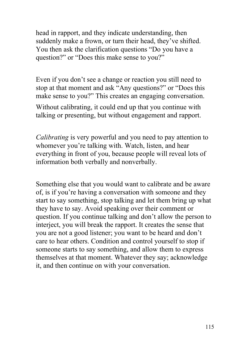head in rapport, and they indicate understanding, then suddenly make a frown, or turn their head, they've shifted. You then ask the clarification questions "Do you have a question?" or "Does this make sense to you?"

Even if you don't see a change or reaction you still need to stop at that moment and ask "Any questions?" or "Does this make sense to you?" This creates an engaging conversation. Without calibrating, it could end up that you continue with

talking or presenting, but without engagement and rapport.

*Calibrating* is very powerful and you need to pay attention to whomever you're talking with. Watch, listen, and hear everything in front of you, because people will reveal lots of information both verbally and nonverbally.

Something else that you would want to calibrate and be aware of, is if you're having a conversation with someone and they start to say something, stop talking and let them bring up what they have to say. Avoid speaking over their comment or question. If you continue talking and don't allow the person to interject, you will break the rapport. It creates the sense that you are not a good listener; you want to be heard and don't care to hear others. Condition and control yourself to stop if someone starts to say something, and allow them to express themselves at that moment. Whatever they say; acknowledge it, and then continue on with your conversation.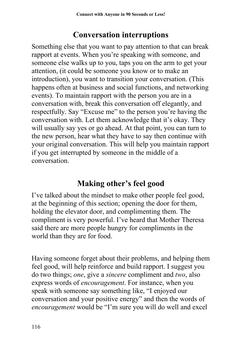## **Conversation interruptions**

Something else that you want to pay attention to that can break rapport at events. When you're speaking with someone, and someone else walks up to you, taps you on the arm to get your attention, (it could be someone you know or to make an introduction), you want to transition your conversation. (This happens often at business and social functions, and networking events). To maintain rapport with the person you are in a conversation with, break this conversation off elegantly, and respectfully. Say "Excuse me" to the person you're having the conversation with. Let them acknowledge that it's okay. They will usually say yes or go ahead. At that point, you can turn to the new person, hear what they have to say then continue with your original conversation. This will help you maintain rapport if you get interrupted by someone in the middle of a conversation.

# **Making other's feel good**

I've talked about the mindset to make other people feel good, at the beginning of this section; opening the door for them, holding the elevator door, and complimenting them. The compliment is very powerful. I've heard that Mother Theresa said there are more people hungry for compliments in the world than they are for food.

Having someone forget about their problems, and helping them feel good, will help reinforce and build rapport. I suggest you do two things; *one*, give a *sincere* compliment and *two*, also express words of *encouragement*. For instance, when you speak with someone say something like, "I enjoyed our conversation and your positive energy" and then the words of *encouragement* would be "I'm sure you will do well and excel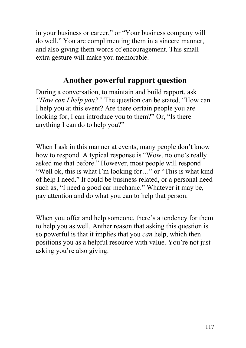in your business or career," or "Your business company will do well." You are complimenting them in a sincere manner, and also giving them words of encouragement. This small extra gesture will make you memorable.

## **Another powerful rapport question**

During a conversation, to maintain and build rapport, ask *"How can I help you?"* The question can be stated, "How can I help you at this event? Are there certain people you are looking for, I can introduce you to them?" Or, "Is there anything I can do to help you?"

When I ask in this manner at events, many people don't know how to respond. A typical response is "Wow, no one's really asked me that before." However, most people will respond "Well ok, this is what I'm looking for…" or "This is what kind of help I need." It could be business related, or a personal need such as, "I need a good car mechanic." Whatever it may be, pay attention and do what you can to help that person.

When you offer and help someone, there's a tendency for them to help you as well. Anther reason that asking this question is so powerful is that it implies that you *can* help, which then positions you as a helpful resource with value. You're not just asking you're also giving.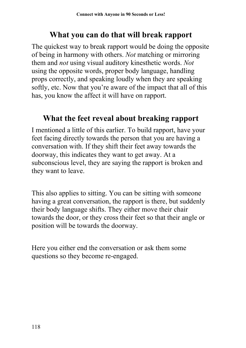### **What you can do that will break rapport**

The quickest way to break rapport would be doing the opposite of being in harmony with others. *Not* matching or mirroring them and *not* using visual auditory kinesthetic words. *Not* using the opposite words, proper body language, handling props correctly, and speaking loudly when they are speaking softly, etc. Now that you're aware of the impact that all of this has, you know the affect it will have on rapport.

### **What the feet reveal about breaking rapport**

I mentioned a little of this earlier. To build rapport, have your feet facing directly towards the person that you are having a conversation with. If they shift their feet away towards the doorway, this indicates they want to get away. At a subconscious level, they are saying the rapport is broken and they want to leave.

This also applies to sitting. You can be sitting with someone having a great conversation, the rapport is there, but suddenly their body language shifts. They either move their chair towards the door, or they cross their feet so that their angle or position will be towards the doorway.

Here you either end the conversation or ask them some questions so they become re-engaged.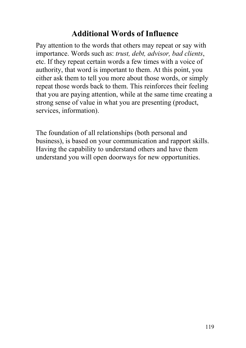## **Additional Words of Influence**

Pay attention to the words that others may repeat or say with importance. Words such as: *trust, debt, advisor, bad clients*, etc. If they repeat certain words a few times with a voice of authority, that word is important to them. At this point, you either ask them to tell you more about those words, or simply repeat those words back to them. This reinforces their feeling that you are paying attention, while at the same time creating a strong sense of value in what you are presenting (product, services, information).

The foundation of all relationships (both personal and business), is based on your communication and rapport skills. Having the capability to understand others and have them understand you will open doorways for new opportunities.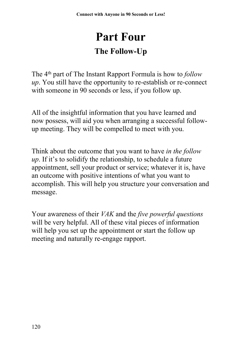# **Part Four The Follow-Up**

The 4 th part of The Instant Rapport Formula is how to *follow up*. You still have the opportunity to re-establish or re-connect with someone in 90 seconds or less, if you follow up.

All of the insightful information that you have learned and now possess, will aid you when arranging a successful followup meeting. They will be compelled to meet with you.

Think about the outcome that you want to have *in the follow up*. If it's to solidify the relationship, to schedule a future appointment, sell your product or service; whatever it is, have an outcome with positive intentions of what you want to accomplish. This will help you structure your conversation and message.

Your awareness of their *VAK* and the *five powerful questions* will be very helpful. All of these vital pieces of information will help you set up the appointment or start the follow up meeting and naturally re-engage rapport.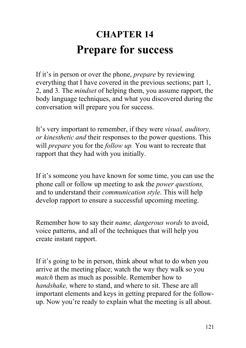# **CHAPTER 14 Prepare for success**

If it's in person or over the phone, *prepare* by reviewing everything that I have covered in the previous sections; part 1, 2, and 3. The *mindset* of helping them, you assume rapport, the body language techniques, and what you discovered during the conversation will prepare you for success.

It's very important to remember, if they were *visual, auditory, or kinesthetic and* their responses to the power questions. This will *prepare* you for the *follow up.* You want to recreate that rapport that they had with you initially.

If it's someone you have known for some time, you can use the phone call or follow up meeting to ask the *power questions,* and to understand their *communication style*. This will help develop rapport to ensure a successful upcoming meeting.

Remember how to say their *name, dangerous words* to avoid, voice patterns, and all of the techniques that will help you create instant rapport.

If it's going to be in person, think about what to do when you arrive at the meeting place; watch the way they walk so you *match* them as much as possible. Remember how to *handshake,* where to stand, and where to sit. These are all important elements and keys in getting prepared for the followup. Now you're ready to explain what the meeting is all about.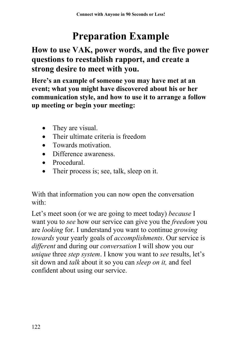# **Preparation Example**

**How to use VAK, power words, and the five power questions to reestablish rapport, and create a strong desire to meet with you.**

**Here's an example of someone you may have met at an event; what you might have discovered about his or her communication style, and how to use it to arrange a follow up meeting or begin your meeting:**

- They are visual.
- Their ultimate criteria is freedom
- Towards motivation
- Difference awareness.
- Procedural.
- Their process is; see, talk, sleep on it.

With that information you can now open the conversation with:

Let's meet soon (or we are going to meet today) *because* I want you to *see* how our service can give you the *freedom* you are *looking* for. I understand you want to continue *growing towards* your yearly goals of *accomplishments*. Our service is *different* and during our *conversation* I will show you our *unique* three *step system*. I know you want to *see* results, let's sit down and *talk* about it so you can *sleep on it,* and feel confident about using our service.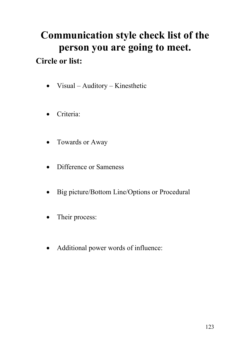# **Communication style check list of the person you are going to meet. Circle or list:**

- Visual Auditory Kinesthetic
- Criteria:
- Towards or Away
- Difference or Sameness
- Big picture/Bottom Line/Options or Procedural
- Their process:
- Additional power words of influence: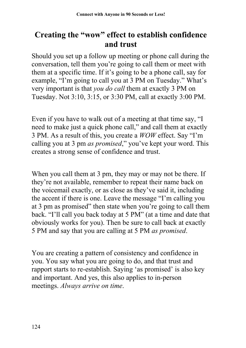# **Creating the "wow" effect to establish confidence and trust**

Should you set up a follow up meeting or phone call during the conversation, tell them you're going to call them or meet with them at a specific time. If it's going to be a phone call, say for example, "I'm going to call you at 3 PM on Tuesday." What's very important is that *you do call* them at exactly 3 PM on Tuesday. Not 3:10, 3:15, or 3:30 PM, call at exactly 3:00 PM.

Even if you have to walk out of a meeting at that time say, "I need to make just a quick phone call," and call them at exactly 3 PM. As a result of this, you create a *WOW* effect. Say "I'm calling you at 3 pm *as promised*," you've kept your word. This creates a strong sense of confidence and trust.

When you call them at 3 pm, they may or may not be there. If they're not available, remember to repeat their name back on the voicemail exactly, or as close as they've said it, including the accent if there is one. Leave the message "I'm calling you at 3 pm as promised" then state when you're going to call them back. "I'll call you back today at 5 PM" (at a time and date that obviously works for you). Then be sure to call back at exactly 5 PM and say that you are calling at 5 PM *as promised*.

You are creating a pattern of consistency and confidence in you. You say what you are going to do, and that trust and rapport starts to re-establish. Saying 'as promised' is also key and important. And yes, this also applies to in-person meetings. *Always arrive on time*.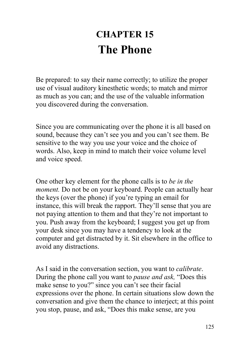# **CHAPTER 15 The Phone**

Be prepared: to say their name correctly; to utilize the proper use of visual auditory kinesthetic words; to match and mirror as much as you can; and the use of the valuable information you discovered during the conversation.

Since you are communicating over the phone it is all based on sound, because they can't see you and you can't see them. Be sensitive to the way you use your voice and the choice of words. Also, keep in mind to match their voice volume level and voice speed.

One other key element for the phone calls is to *be in the moment.* Do not be on your keyboard. People can actually hear the keys (over the phone) if you're typing an email for instance, this will break the rapport. They'll sense that you are not paying attention to them and that they're not important to you. Push away from the keyboard; I suggest you get up from your desk since you may have a tendency to look at the computer and get distracted by it. Sit elsewhere in the office to avoid any distractions.

As I said in the conversation section, you want to *calibrate*. During the phone call you want to *pause and ask,* "Does this make sense to you?" since you can't see their facial expressions over the phone. In certain situations slow down the conversation and give them the chance to interject; at this point you stop, pause, and ask, "Does this make sense, are you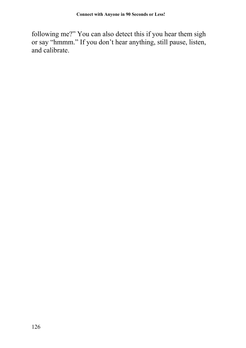following me?" You can also detect this if you hear them sigh or say "hmmm." If you don't hear anything, still pause, listen, and calibrate.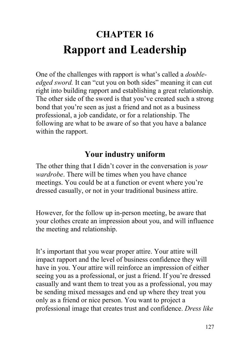# **CHAPTER 16 Rapport and Leadership**

One of the challenges with rapport is what's called a *doubleedged sword.* It can "cut you on both sides" meaning it can cut right into building rapport and establishing a great relationship. The other side of the sword is that you've created such a strong bond that you're seen as just a friend and not as a business professional, a job candidate, or for a relationship. The following are what to be aware of so that you have a balance within the rapport.

### **Your industry uniform**

The other thing that I didn't cover in the conversation is *your wardrobe*. There will be times when you have chance meetings. You could be at a function or event where you're dressed casually, or not in your traditional business attire.

However, for the follow up in-person meeting, be aware that your clothes create an impression about you, and will influence the meeting and relationship.

It's important that you wear proper attire. Your attire will impact rapport and the level of business confidence they will have in you. Your attire will reinforce an impression of either seeing you as a professional, or just a friend. If you're dressed casually and want them to treat you as a professional, you may be sending mixed messages and end up where they treat you only as a friend or nice person. You want to project a professional image that creates trust and confidence. *Dress like*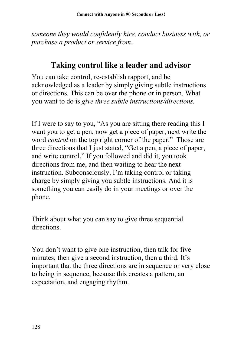*someone they would confidently hire, conduct business with, or purchase a product or service from*.

### **Taking control like a leader and advisor**

You can take control, re-establish rapport, and be acknowledged as a leader by simply giving subtle instructions or directions. This can be over the phone or in person. What you want to do is *give three subtle instructions/directions.*

If I were to say to you, "As you are sitting there reading this I want you to get a pen, now get a piece of paper, next write the word *control* on the top right corner of the paper." Those are three directions that I just stated, "Get a pen, a piece of paper, and write control." If you followed and did it, you took directions from me, and then waiting to hear the next instruction. Subconsciously, I'm taking control or taking charge by simply giving you subtle instructions. And it is something you can easily do in your meetings or over the phone.

Think about what you can say to give three sequential directions.

You don't want to give one instruction, then talk for five minutes; then give a second instruction, then a third. It's important that the three directions are in sequence or very close to being in sequence, because this creates a pattern, an expectation, and engaging rhythm.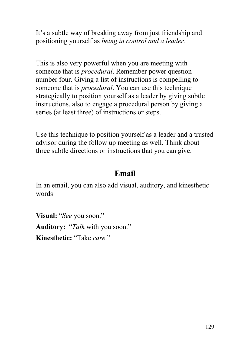It's a subtle way of breaking away from just friendship and positioning yourself as *being in control and a leader.* 

This is also very powerful when you are meeting with someone that is *procedural*. Remember power question number four. Giving a list of instructions is compelling to someone that is *procedural*. You can use this technique strategically to position yourself as a leader by giving subtle instructions, also to engage a procedural person by giving a series (at least three) of instructions or steps.

Use this technique to position yourself as a leader and a trusted advisor during the follow up meeting as well. Think about three subtle directions or instructions that you can give.

#### **Email**

In an email, you can also add visual, auditory, and kinesthetic words

**Visual:** "*See* you soon." **Auditory:** "*Talk* with you soon." **Kinesthetic:** "Take *care*."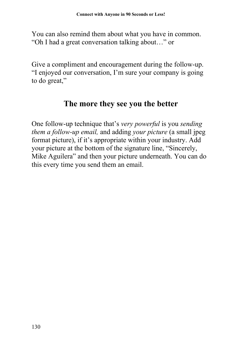You can also remind them about what you have in common. "Oh I had a great conversation talking about…" or

Give a compliment and encouragement during the follow-up. "I enjoyed our conversation, I'm sure your company is going to do great,"

### **The more they see you the better**

One follow-up technique that's *very powerful* is you *sending them a follow-up email,* and adding *your picture* (a small jpeg format picture), if it's appropriate within your industry. Add your picture at the bottom of the signature line, "Sincerely, Mike Aguilera" and then your picture underneath. You can do this every time you send them an email.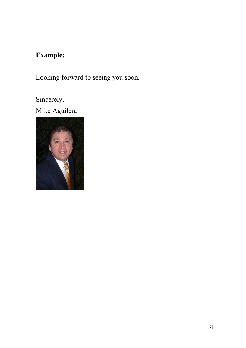### **Example:**

Looking forward to seeing you soon.

Sincerely, Mike Aguilera

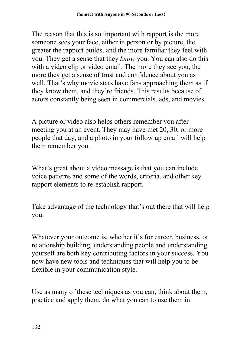The reason that this is so important with rapport is the more someone sees your face, either in person or by picture, the greater the rapport builds, and the more familiar they feel with you. They get a sense that they *know* you. You can also do this with a video clip or video email. The more they see you, the more they get a sense of trust and confidence about you as well. That's why movie stars have fans approaching them as if they know them, and they're friends. This results because of actors constantly being seen in commercials, ads, and movies.

A picture or video also helps others remember you after meeting you at an event. They may have met 20, 30, or more people that day, and a photo in your follow up email will help them remember you.

What's great about a video message is that you can include voice patterns and some of the words, criteria, and other key rapport elements to re-establish rapport.

Take advantage of the technology that's out there that will help you.

Whatever your outcome is, whether it's for career, business, or relationship building, understanding people and understanding yourself are both key contributing factors in your success. You now have new tools and techniques that will help you to be flexible in your communication style.

Use as many of these techniques as you can, think about them, practice and apply them, do what you can to use them in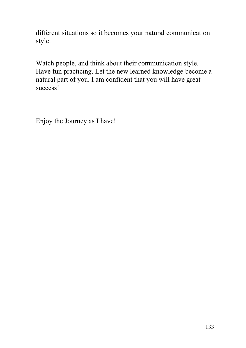different situations so it becomes your natural communication style.

Watch people, and think about their communication style. Have fun practicing. Let the new learned knowledge become a natural part of you. I am confident that you will have great success!

Enjoy the Journey as I have!